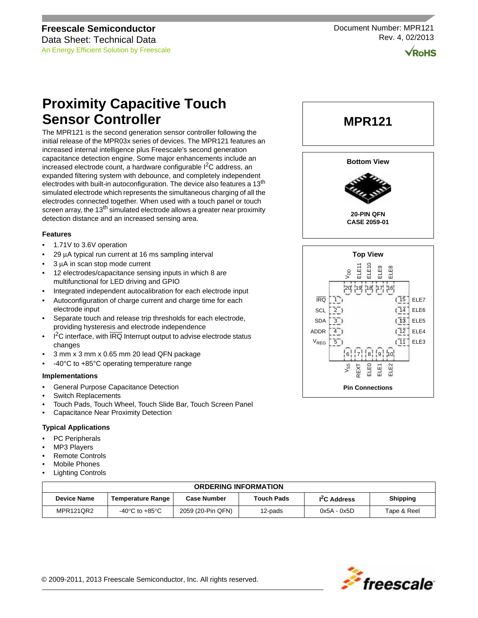Document Number: MPR121 Rev. 4, 02/2013

**RoHS** 

# **Proximity Capacitive Touch Sensor Controller**

The MPR121 is the second generation sensor controller following the initial release of the MPR03x series of devices. The MPR121 features an increased internal intelligence plus Freescale's second generation capacitance detection engine. Some major enhancements include an increased electrode count, a hardware configurable I<sup>2</sup>C address, an expanded filtering system with debounce, and completely independent electrodes with built-in autoconfiguration. The device also features a 13<sup>th</sup> simulated electrode which represents the simultaneous charging of all the electrodes connected together. When used with a touch panel or touch screen array, the 13<sup>th</sup> simulated electrode allows a greater near proximity detection distance and an increased sensing area.

#### **Features**

- 1.71V to 3.6V operation
- 29 μA typical run current at 16 ms sampling interval
- 3 μA in scan stop mode current
- 12 electrodes/capacitance sensing inputs in which 8 are multifunctional for LED driving and GPIO
- Integrated independent autocalibration for each electrode input
- Autoconfiguration of charge current and charge time for each electrode input
- Separate touch and release trip thresholds for each electrode, providing hysteresis and electrode independence
- $I<sup>2</sup>C$  interface, with  $\overline{IRQ}$  Interrupt output to advise electrode status changes
- 3 mm x 3 mm x 0.65 mm 20 lead QFN package
- -40°C to +85°C operating temperature range

#### **Implementations**

- General Purpose Capacitance Detection
- Switch Replacements
- Touch Pads, Touch Wheel, Touch Slide Bar, Touch Screen Panel
- Capacitance Near Proximity Detection

### **Typical Applications**

- PC Peripherals
- MP3 Players
- Remote Controls
- Mobile Phones
- **Lighting Controls**

| <b>ORDERING INFORMATION</b> |                                      |                    |                   |                          |                 |  |  |  |
|-----------------------------|--------------------------------------|--------------------|-------------------|--------------------------|-----------------|--|--|--|
| <b>Device Name</b>          | Temperature Range                    | <b>Case Number</b> | <b>Touch Pads</b> | I <sup>2</sup> C Address | <b>Shipping</b> |  |  |  |
| MPR121QR2                   | -40 $^{\circ}$ C to +85 $^{\circ}$ C | 2059 (20-Pin QFN)  | 12-pads           | 0x5A - 0x5D              | Tape & Reel     |  |  |  |



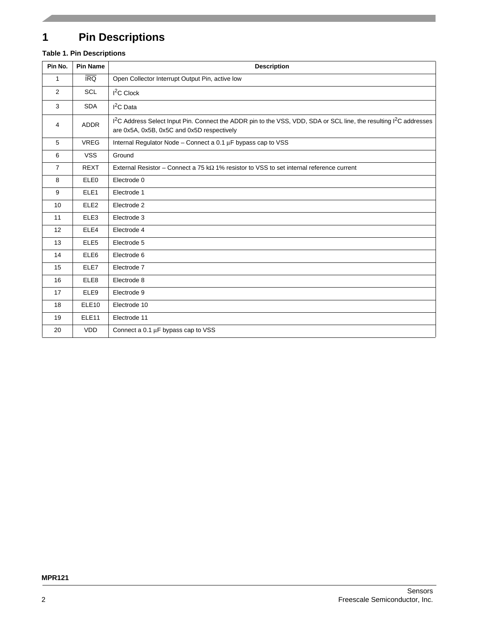# **1 Pin Descriptions**

### **Table 1. Pin Descriptions**

| Pin No.        | <b>Pin Name</b>   | <b>Description</b>                                                                                                                                                                       |
|----------------|-------------------|------------------------------------------------------------------------------------------------------------------------------------------------------------------------------------------|
| $\mathbf{1}$   | IRQ               | Open Collector Interrupt Output Pin, active low                                                                                                                                          |
| 2              | <b>SCL</b>        | $I2C$ Clock                                                                                                                                                                              |
| 3              | <b>SDA</b>        | $I2C$ Data                                                                                                                                                                               |
| 4              | <b>ADDR</b>       | 1 <sup>2</sup> C Address Select Input Pin. Connect the ADDR pin to the VSS, VDD, SDA or SCL line, the resulting 1 <sup>2</sup> C addresses<br>are 0x5A, 0x5B, 0x5C and 0x5D respectively |
| 5              | <b>VREG</b>       | Internal Regulator Node - Connect a 0.1 µF bypass cap to VSS                                                                                                                             |
| 6              | <b>VSS</b>        | Ground                                                                                                                                                                                   |
| $\overline{7}$ | <b>REXT</b>       | External Resistor – Connect a 75 k $\Omega$ 1% resistor to VSS to set internal reference current                                                                                         |
| 8              | ELE0              | Electrode 0                                                                                                                                                                              |
| 9              | ELE <sub>1</sub>  | Electrode 1                                                                                                                                                                              |
| 10             | ELE <sub>2</sub>  | Electrode 2                                                                                                                                                                              |
| 11             | ELE3              | Electrode 3                                                                                                                                                                              |
| 12             | ELE4              | Electrode 4                                                                                                                                                                              |
| 13             | ELE <sub>5</sub>  | Electrode 5                                                                                                                                                                              |
| 14             | ELE6              | Electrode 6                                                                                                                                                                              |
| 15             | ELE7              | Electrode 7                                                                                                                                                                              |
| 16             | ELE8              | Electrode 8                                                                                                                                                                              |
| 17             | ELE9              | Electrode 9                                                                                                                                                                              |
| 18             | ELE <sub>10</sub> | Electrode 10                                                                                                                                                                             |
| 19             | ELE <sub>11</sub> | Electrode 11                                                                                                                                                                             |
| 20             | <b>VDD</b>        | Connect a $0.1 \mu$ F bypass cap to VSS                                                                                                                                                  |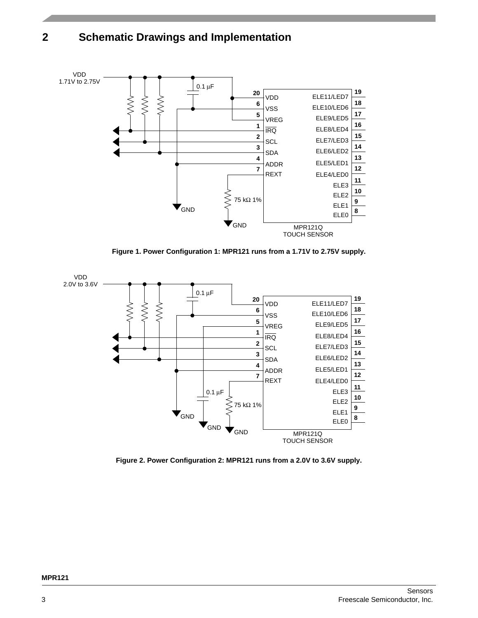# **2 Schematic Drawings and Implementation**



**Figure 1. Power Configuration 1: MPR121 runs from a 1.71V to 2.75V supply.**

<span id="page-2-0"></span>

<span id="page-2-1"></span>**Figure 2. Power Configuration 2: MPR121 runs from a 2.0V to 3.6V supply.**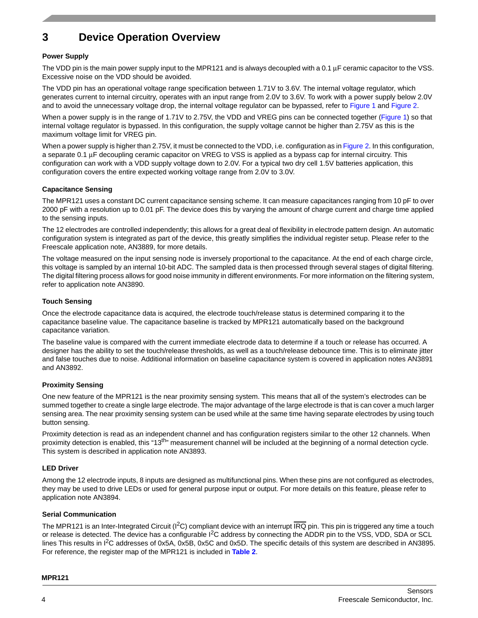# **3 Device Operation Overview**

### **Power Supply**

The VDD pin is the main power supply input to the MPR121 and is always decoupled with a 0.1  $\mu$ F ceramic capacitor to the VSS. Excessive noise on the VDD should be avoided.

The VDD pin has an operational voltage range specification between 1.71V to 3.6V. The internal voltage regulator, which generates current to internal circuitry, operates with an input range from 2.0V to 3.6V. To work with a power supply below 2.0V and to avoid the unnecessary voltage drop, the internal voltage regulator can be bypassed, refer to [Figure 1](#page-2-0) and [Figure 2](#page-2-1).

When a power supply is in the range of 1.71V to 2.75V, the VDD and VREG pins can be connected together [\(Figure 1](#page-2-0)) so that internal voltage regulator is bypassed. In this configuration, the supply voltage cannot be higher than 2.75V as this is the maximum voltage limit for VREG pin.

When a power supply is higher than 2.75V, it must be connected to the VDD, i.e. configuration as in [Figure 2.](#page-2-1) In this configuration, a separate 0.1 μF decoupling ceramic capacitor on VREG to VSS is applied as a bypass cap for internal circuitry. This configuration can work with a VDD supply voltage down to 2.0V. For a typical two dry cell 1.5V batteries application, this configuration covers the entire expected working voltage range from 2.0V to 3.0V.

### **Capacitance Sensing**

The MPR121 uses a constant DC current capacitance sensing scheme. It can measure capacitances ranging from 10 pF to over 2000 pF with a resolution up to 0.01 pF. The device does this by varying the amount of charge current and charge time applied to the sensing inputs.

The 12 electrodes are controlled independently; this allows for a great deal of flexibility in electrode pattern design. An automatic configuration system is integrated as part of the device, this greatly simplifies the individual register setup. Please refer to the Freescale application note, AN3889, for more details.

The voltage measured on the input sensing node is inversely proportional to the capacitance. At the end of each charge circle, this voltage is sampled by an internal 10-bit ADC. The sampled data is then processed through several stages of digital filtering. The digital filtering process allows for good noise immunity in different environments. For more information on the filtering system, refer to application note AN3890.

### **Touch Sensing**

Once the electrode capacitance data is acquired, the electrode touch/release status is determined comparing it to the capacitance baseline value. The capacitance baseline is tracked by MPR121 automatically based on the background capacitance variation.

The baseline value is compared with the current immediate electrode data to determine if a touch or release has occurred. A designer has the ability to set the touch/release thresholds, as well as a touch/release debounce time. This is to eliminate jitter and false touches due to noise. Additional information on baseline capacitance system is covered in application notes AN3891 and AN3892.

### **Proximity Sensing**

One new feature of the MPR121 is the near proximity sensing system. This means that all of the system's electrodes can be summed together to create a single large electrode. The major advantage of the large electrode is that is can cover a much larger sensing area. The near proximity sensing system can be used while at the same time having separate electrodes by using touch button sensing.

Proximity detection is read as an independent channel and has configuration registers similar to the other 12 channels. When proximity detection is enabled, this "13<sup>th</sup>" measurement channel will be included at the beginning of a normal detection cycle. This system is described in application note AN3893.

### **LED Driver**

Among the 12 electrode inputs, 8 inputs are designed as multifunctional pins. When these pins are not configured as electrodes, they may be used to drive LEDs or used for general purpose input or output. For more details on this feature, please refer to application note AN3894.

### **Serial Communication**

The MPR121 is an Inter-Integrated Circuit ( $l^2C$ ) compliant device with an interrupt IRQ pin. This pin is triggered any time a touch or release is detected. The device has a configurable  $1^2C$  address by connecting the ADDR pin to the VSS, VDD, SDA or SCL lines This results in I<sup>2</sup>C addresses of 0x5A, 0x5B, 0x5C and 0x5D. The specific details of this system are described in AN3895. For reference, the register map of the MPR121 is included in **[Table 2](#page-4-0)**.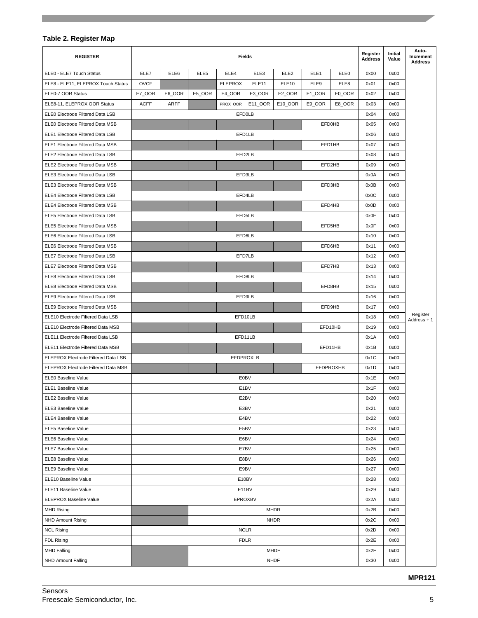### <span id="page-4-0"></span>**Table 2. Register Map**

| <b>REGISTER</b>                     |             |             |                  |                | Fields            |                  |                  |                  | Register<br><b>Address</b> | Initial<br>Value | Auto-<br>Increment<br><b>Address</b> |
|-------------------------------------|-------------|-------------|------------------|----------------|-------------------|------------------|------------------|------------------|----------------------------|------------------|--------------------------------------|
| ELE0 - ELE7 Touch Status            | ELE7        | ELE6        | ELE <sub>5</sub> | ELE4           | ELE3              | ELE <sub>2</sub> | ELE <sub>1</sub> | ELE0             | 0x00                       | 0x00             |                                      |
| ELE8 - ELE11, ELEPROX Touch Status  | <b>OVCF</b> |             |                  | <b>ELEPROX</b> | ELE <sub>11</sub> | ELE10            | ELE9             | ELE8             | 0x01                       | 0x00             |                                      |
| ELE0-7 OOR Status                   | E7_OOR      | E6_OOR      | E5 OOR           | E4_OOR         | E3 OOR            | E2_OOR           | E1_OOR           | E0_OOR           | 0x02                       | 0x00             |                                      |
| ELE8-11, ELEPROX OOR Status         | <b>ACFF</b> | <b>ARFF</b> |                  | PROX_OOR       | E11_OOR           | E10_OOR          | E9_OOR           | E8_OOR           | 0x03                       | 0x00             |                                      |
| ELE0 Electrode Filtered Data LSB    |             |             |                  |                | EFD0LB            |                  |                  |                  | 0x04                       | 0x00             |                                      |
| ELE0 Electrode Filtered Data MSB    |             |             |                  |                |                   |                  |                  | <b>EFD0HB</b>    | 0x05                       | 0x00             |                                      |
| ELE1 Electrode Filtered Data LSB    |             |             |                  |                | EFD1LB            |                  |                  |                  | 0x06                       | 0x00             |                                      |
| ELE1 Electrode Filtered Data MSB    |             |             |                  |                |                   |                  |                  | EFD1HB           | 0x07                       | 0x00             |                                      |
| ELE2 Electrode Filtered Data LSB    |             |             |                  |                | EFD2LB            |                  |                  |                  | 0x08                       | 0x00             |                                      |
| ELE2 Electrode Filtered Data MSB    |             |             |                  |                |                   |                  |                  | EFD2HB           | 0x09                       | 0x00             |                                      |
| ELE3 Electrode Filtered Data LSB    |             |             |                  |                | EFD3LB            |                  |                  |                  | 0x0A                       | 0x00             |                                      |
| ELE3 Electrode Filtered Data MSB    |             |             |                  |                |                   |                  |                  | EFD3HB           | 0x0B                       | 0x00             |                                      |
| ELE4 Electrode Filtered Data LSB    |             |             |                  |                | EFD4LB            |                  |                  |                  | 0x0C                       | 0x00             |                                      |
| ELE4 Electrode Filtered Data MSB    |             |             |                  |                |                   |                  |                  | EFD4HB           | 0x0D                       | 0x00             |                                      |
| ELE5 Electrode Filtered Data LSB    |             |             |                  |                | EFD5LB            |                  |                  |                  | 0x0E                       | 0x00             |                                      |
| ELE5 Electrode Filtered Data MSB    |             |             |                  |                |                   |                  |                  | EFD5HB           | 0x0F                       | 0x00             |                                      |
| ELE6 Electrode Filtered Data LSB    |             |             |                  |                | EFD6LB            |                  |                  |                  | 0x10                       | 0x00             |                                      |
| ELE6 Electrode Filtered Data MSB    |             |             |                  |                |                   |                  |                  | EFD6HB           | 0x11                       | 0x00             |                                      |
| ELE7 Electrode Filtered Data LSB    |             |             |                  |                | EFD7LB            |                  |                  |                  | 0x12                       | 0x00             |                                      |
| ELE7 Electrode Filtered Data MSB    |             |             |                  |                |                   |                  |                  | EFD7HB           | 0x13                       | 0x00             |                                      |
| ELE8 Electrode Filtered Data LSB    |             |             |                  |                | EFD8LB            |                  |                  |                  | 0x14                       | 0x00             |                                      |
| ELE8 Electrode Filtered Data MSB    |             |             |                  |                |                   |                  |                  | EFD8HB           | 0x15                       | 0x00             |                                      |
| ELE9 Electrode Filtered Data LSB    |             |             |                  |                | EFD9LB            |                  |                  |                  | 0x16                       | 0x00             |                                      |
| ELE9 Electrode Filtered Data MSB    |             |             |                  |                |                   |                  |                  | EFD9HB           | 0x17                       | 0x00             |                                      |
| ELE10 Electrode Filtered Data LSB   |             |             |                  |                | EFD10LB           |                  |                  |                  | 0x18                       | 0x00             | Register<br>Address + 1              |
| ELE10 Electrode Filtered Data MSB   |             |             |                  |                |                   |                  |                  | EFD10HB          | 0x19                       | 0x00             |                                      |
| ELE11 Electrode Filtered Data LSB   |             |             |                  |                | EFD11LB           |                  |                  |                  | 0x1A                       | 0x00             |                                      |
| ELE11 Electrode Filtered Data MSB   |             |             |                  |                |                   |                  |                  | EFD11HB          | 0x1B                       | 0x00             |                                      |
| ELEPROX Electrode Filtered Data LSB |             |             |                  |                | <b>EFDPROXLB</b>  |                  |                  |                  | 0x1C                       | 0x00             |                                      |
| ELEPROX Electrode Filtered Data MSB |             |             |                  |                |                   |                  |                  | <b>EFDPROXHB</b> | 0x1D                       | 0x00             |                                      |
| ELE0 Baseline Value                 |             |             |                  |                | E0BV              |                  |                  |                  | 0x1E                       | 0x00             |                                      |
| <b>ELE1 Baseline Value</b>          |             |             |                  |                | E <sub>1</sub> BV |                  |                  |                  | 0x1F                       | 0x00             |                                      |
| ELE2 Baseline Value                 |             |             |                  |                | E <sub>2</sub> BV |                  |                  |                  | 0x20                       | 0x00             |                                      |
| ELE3 Baseline Value                 |             |             |                  |                | E3BV              |                  |                  |                  | 0x21                       | 0x00             |                                      |
| <b>ELE4 Baseline Value</b>          |             |             |                  |                | E4BV              |                  |                  |                  | 0x22                       | 0x00             |                                      |
| ELE5 Baseline Value                 |             |             |                  |                | E5BV              |                  |                  |                  | 0x23                       | 0x00             |                                      |
| ELE6 Baseline Value                 |             |             |                  |                | E6BV              |                  |                  |                  | 0x24                       | 0x00             |                                      |
| <b>ELE7 Baseline Value</b>          |             |             |                  |                | E7BV              |                  |                  |                  | 0x25                       | 0x00             |                                      |
| ELE8 Baseline Value                 |             |             |                  |                | E8BV              |                  |                  |                  | 0x26                       | 0x00             |                                      |
| ELE9 Baseline Value                 |             |             |                  |                | E9BV              |                  |                  |                  | 0x27                       | 0x00             |                                      |
| ELE10 Baseline Value                |             |             |                  |                | E10BV             |                  |                  |                  | 0x28                       | 0x00             |                                      |
| ELE11 Baseline Value                |             | E11BV       |                  |                |                   | 0x29             | 0x00             |                  |                            |                  |                                      |
| ELEPROX Baseline Value              |             |             |                  |                | EPROXBV           |                  |                  |                  | 0x2A                       | 0x00             |                                      |
| <b>MHD Rising</b>                   |             |             |                  |                |                   | <b>MHDR</b>      |                  |                  | 0x2B                       | 0x00             |                                      |
| <b>NHD Amount Rising</b>            |             |             |                  |                |                   | <b>NHDR</b>      |                  |                  | 0x2C                       | 0x00             |                                      |
| <b>NCL Rising</b>                   |             |             |                  |                | <b>NCLR</b>       |                  |                  |                  | 0x2D                       | 0x00             |                                      |
| FDL Rising                          |             |             |                  |                | <b>FDLR</b>       |                  |                  |                  | 0x2E                       | 0x00             |                                      |
| <b>MHD Falling</b>                  |             |             |                  |                |                   | <b>MHDF</b>      |                  |                  | 0x2F                       | 0x00             |                                      |
| NHD Amount Falling                  |             |             |                  |                |                   | <b>NHDF</b>      |                  |                  | 0x30                       | 0x00             |                                      |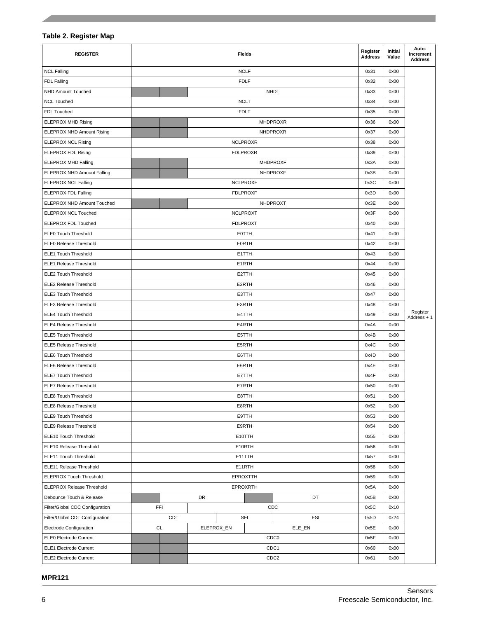### **Table 2. Register Map**

| <b>REGISTER</b>                   |                 |                  |            |  | <b>Fields</b>      |        |      | Register<br><b>Address</b> | Initial<br>Value        | Auto-<br>Increment<br><b>Address</b> |
|-----------------------------------|-----------------|------------------|------------|--|--------------------|--------|------|----------------------------|-------------------------|--------------------------------------|
| <b>NCL Falling</b>                |                 |                  |            |  | <b>NCLF</b>        |        |      | 0x31                       | 0x00                    |                                      |
| <b>FDL Falling</b>                |                 |                  |            |  | <b>FDLF</b>        |        |      | 0x32                       | 0x00                    |                                      |
| NHD Amount Touched                |                 |                  |            |  | <b>NHDT</b>        |        |      | 0x33                       | 0x00                    |                                      |
| <b>NCL Touched</b>                |                 |                  |            |  | <b>NCLT</b>        |        |      | 0x34                       | 0x00                    |                                      |
| FDL Touched                       |                 |                  |            |  | <b>FDLT</b>        |        |      | 0x35                       | 0x00                    |                                      |
| <b>ELEPROX MHD Rising</b>         |                 |                  |            |  | <b>MHDPROXR</b>    |        |      | 0x36                       | 0x00                    |                                      |
| <b>ELEPROX NHD Amount Rising</b>  |                 |                  |            |  | <b>NHDPROXR</b>    |        |      | 0x37                       | 0x00                    |                                      |
| <b>ELEPROX NCL Rising</b>         |                 |                  |            |  | <b>NCLPROXR</b>    |        |      | 0x38                       | 0x00                    |                                      |
| <b>ELEPROX FDL Rising</b>         |                 |                  |            |  | <b>FDLPROXR</b>    |        |      | 0x39                       | 0x00                    |                                      |
| <b>ELEPROX MHD Falling</b>        |                 |                  |            |  | <b>MHDPROXF</b>    |        |      | 0x3A                       | 0x00                    |                                      |
| <b>ELEPROX NHD Amount Falling</b> |                 |                  |            |  | NHDPROXF           |        |      | 0x3B                       | 0x00                    |                                      |
| <b>ELEPROX NCL Falling</b>        |                 |                  |            |  | <b>NCLPROXF</b>    |        |      | 0x3C                       | 0x00                    |                                      |
| <b>ELEPROX FDL Falling</b>        |                 |                  |            |  | <b>FDLPROXF</b>    |        |      | 0x3D                       | 0x00                    |                                      |
| <b>ELEPROX NHD Amount Touched</b> |                 |                  |            |  | NHDPROXT           |        |      | 0x3E                       | 0x00                    |                                      |
| <b>ELEPROX NCL Touched</b>        |                 |                  |            |  | <b>NCLPROXT</b>    |        |      | 0x3F                       | 0x00                    |                                      |
| <b>ELEPROX FDL Touched</b>        |                 |                  |            |  | <b>FDLPROXT</b>    |        |      | 0x40                       | 0x00                    |                                      |
| <b>ELEO Touch Threshold</b>       |                 |                  |            |  | <b>EOTTH</b>       |        |      | 0x41                       | 0x00                    |                                      |
| ELE0 Release Threshold            |                 |                  |            |  | EORTH              |        |      | 0x42                       | 0x00                    |                                      |
| ELE1 Touch Threshold              |                 |                  |            |  | E1TTH              |        |      | 0x43                       | 0x00                    |                                      |
| ELE1 Release Threshold            |                 |                  |            |  | E <sub>1</sub> RTH |        |      | 0x44                       | 0x00                    |                                      |
| ELE2 Touch Threshold              |                 |                  |            |  | E2TTH              |        |      | 0x45                       | 0x00                    |                                      |
| ELE2 Release Threshold            |                 | E2RTH            |            |  |                    |        |      | 0x46                       | 0x00                    |                                      |
| <b>ELE3 Touch Threshold</b>       | E3TTH           |                  |            |  |                    |        | 0x47 | 0x00                       |                         |                                      |
| ELE3 Release Threshold            | E3RTH           |                  |            |  |                    | 0x48   | 0x00 |                            |                         |                                      |
| ELE4 Touch Threshold              |                 | E4TTH            |            |  |                    |        | 0x49 | 0x00                       | Register<br>Address + 1 |                                      |
| <b>ELE4 Release Threshold</b>     | E4RTH           |                  |            |  |                    | 0x4A   | 0x00 |                            |                         |                                      |
| ELE5 Touch Threshold              |                 |                  |            |  | E5TTH              |        |      | 0x4B                       | 0x00                    |                                      |
| <b>ELE5 Release Threshold</b>     |                 |                  |            |  | E5RTH              |        |      | 0x4C                       | 0x00                    |                                      |
| <b>ELE6 Touch Threshold</b>       |                 |                  |            |  | E6TTH              |        |      | 0x4D                       | 0x00                    |                                      |
| ELE6 Release Threshold            |                 |                  |            |  | E6RTH              |        |      | 0x4E                       | 0x00                    |                                      |
| ELE7 Touch Threshold              |                 |                  |            |  | E7TTH              |        |      | 0x4F                       | 0x00                    |                                      |
| <b>ELE7 Release Threshold</b>     |                 |                  |            |  | E7RTH              |        |      | 0x50                       | 0x00                    |                                      |
| <b>ELE8 Touch Threshold</b>       |                 |                  |            |  | E8TTH              |        |      | 0x51                       | 0x00                    |                                      |
| <b>ELE8 Release Threshold</b>     |                 |                  |            |  | E8RTH              |        |      | 0x52                       | 0x00                    |                                      |
| <b>ELE9 Touch Threshold</b>       |                 |                  |            |  | E9TTH              |        |      | 0x53                       | 0x00                    |                                      |
| ELE9 Release Threshold            |                 |                  |            |  | E9RTH              |        |      | 0x54                       | 0x00                    |                                      |
| ELE10 Touch Threshold             |                 |                  |            |  | E10TTH             |        |      | 0x55                       | 0x00                    |                                      |
| ELE10 Release Threshold           |                 | E10RTH           |            |  |                    |        | 0x56 | 0x00                       |                         |                                      |
| ELE11 Touch Threshold             | E11TTH          |                  |            |  | 0x57               | 0x00   |      |                            |                         |                                      |
| ELE11 Release Threshold           | E11RTH          |                  |            |  | 0x58               | 0x00   |      |                            |                         |                                      |
| <b>ELEPROX Touch Threshold</b>    | <b>EPROXTTH</b> |                  |            |  | 0x59               | 0x00   |      |                            |                         |                                      |
| <b>ELEPROX Release Threshold</b>  |                 | <b>EPROXRTH</b>  |            |  |                    | 0x5A   | 0x00 |                            |                         |                                      |
| Debounce Touch & Release          |                 |                  | DR         |  |                    | DT     |      | 0x5B                       | 0x00                    |                                      |
| Filter/Global CDC Configuration   | FFI             |                  |            |  | <b>CDC</b>         |        |      | 0x5C                       | 0x10                    |                                      |
| Filter/Global CDT Configuration   |                 | CDT              |            |  | SFI                | ESI    |      | 0x5D                       | 0x24                    |                                      |
| <b>Electrode Configuration</b>    | <b>CL</b>       |                  | ELEPROX_EN |  |                    | ELE_EN |      | 0x5E                       | 0x00                    |                                      |
| <b>ELEO Electrode Current</b>     |                 |                  |            |  | CDC <sub>0</sub>   |        |      | 0x5F                       | 0x00                    |                                      |
| ELE1 Electrode Current            |                 |                  |            |  | CDC1               |        |      | 0x60                       | 0x00                    |                                      |
| <b>ELE2 Electrode Current</b>     |                 | CDC <sub>2</sub> |            |  |                    |        |      | 0x61                       | 0x00                    |                                      |

**MPR121**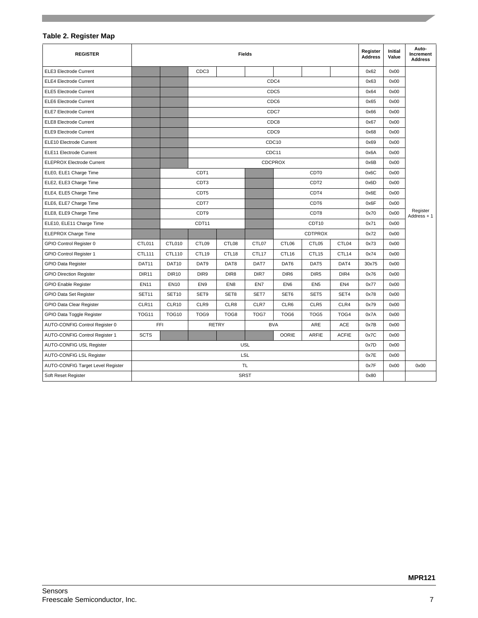### **Table 2. Register Map**

| <b>REGISTER</b>                          |              |                   |                  | <b>Fields</b>    |             |                  |                   |                 |       | Initial<br>Value | Auto-<br>Increment<br><b>Address</b> |
|------------------------------------------|--------------|-------------------|------------------|------------------|-------------|------------------|-------------------|-----------------|-------|------------------|--------------------------------------|
| <b>ELE3 Electrode Current</b>            |              |                   | CDC3             |                  |             |                  |                   |                 | 0x62  | 0x00             |                                      |
| <b>ELE4 Electrode Current</b>            |              |                   | CDC4             |                  |             |                  |                   |                 |       | 0x00             |                                      |
| <b>ELE5 Electrode Current</b>            |              | CDC5              |                  |                  |             |                  |                   | 0x64            | 0x00  |                  |                                      |
| <b>ELE6 Electrode Current</b>            |              |                   |                  |                  |             | CDC6             |                   |                 | 0x65  | 0x00             |                                      |
| <b>ELE7 Electrode Current</b>            |              |                   |                  |                  |             | CDC7             |                   |                 | 0x66  | 0x00             |                                      |
| ELE8 Electrode Current                   |              |                   |                  |                  |             | CDC8             |                   |                 | 0x67  | 0x00             |                                      |
| <b>ELE9 Electrode Current</b>            |              |                   |                  |                  |             | CDC <sub>9</sub> |                   |                 | 0x68  | 0x00             |                                      |
| ELE10 Electrode Current                  |              |                   |                  |                  |             | CDC10            |                   |                 | 0x69  | 0x00             |                                      |
| ELE11 Electrode Current                  |              |                   |                  |                  |             | CDC11            |                   |                 | 0x6A  | 0x00             |                                      |
| <b>ELEPROX Electrode Current</b>         |              |                   |                  |                  |             | <b>CDCPROX</b>   |                   |                 | 0x6B  | 0x00             |                                      |
| ELE0, ELE1 Charge Time                   |              |                   | CDT <sub>1</sub> |                  |             |                  | CDT <sub>0</sub>  |                 | 0x6C  | 0x00             |                                      |
| ELE2, ELE3 Charge Time                   |              |                   | CDT <sub>3</sub> |                  |             |                  | CDT <sub>2</sub>  |                 |       | 0x00             |                                      |
| ELE4, ELE5 Charge Time                   |              |                   | CDT5             |                  |             |                  | CDT4              |                 |       | 0x00             |                                      |
| ELE6, ELE7 Charge Time                   |              |                   | CDT7             |                  |             |                  | CDT6              |                 | 0x6F  | 0x00             |                                      |
| ELE8, ELE9 Charge Time                   |              |                   | CDT9             |                  |             |                  | CDT8              |                 | 0x70  | 0x00             | Register<br>Address $+1$             |
| ELE10, ELE11 Charge Time                 |              |                   | CDT11            |                  |             | CDT10            |                   |                 | 0x71  | 0x00             |                                      |
| ELEPROX Charge Time                      |              |                   |                  |                  |             | <b>CDTPROX</b>   |                   | 0x72            | 0x00  |                  |                                      |
| GPIO Control Register 0                  | CTL011       | CTL010            | CTL09            | CTL08            | CTL07       | CTL06            | CTL05             | CTL04           | 0x73  | 0x00             |                                      |
| GPIO Control Register 1                  | CTL111       | CTL110            | CTL19            | CTL18            | CTL17       | CTL16            | CTL <sub>15</sub> | CTL14           | 0x74  | 0x00             |                                      |
| <b>GPIO Data Register</b>                | DAT11        | DAT10             | DAT9             | DAT8             | DAT7        | DAT6             | DAT5              | DAT4            | 30x75 | 0x00             |                                      |
| <b>GPIO Direction Register</b>           | <b>DIR11</b> | <b>DIR10</b>      | DIR9             | DIR <sub>8</sub> | DIR7        | DIR <sub>6</sub> | DIR <sub>5</sub>  | DIR4            | 0x76  | 0x00             |                                      |
| <b>GPIO Enable Register</b>              | <b>EN11</b>  | <b>EN10</b>       | EN <sub>9</sub>  | EN <sub>8</sub>  | EN7         | EN <sub>6</sub>  | EN <sub>5</sub>   | EN <sub>4</sub> | 0x77  | 0x00             |                                      |
| GPIO Data Set Register                   | <b>SET11</b> | SET <sub>10</sub> | SET9             | SET8             | SET7        | SET6             | SET5              | SET4            | 0x78  | 0x00             |                                      |
| <b>GPIO Data Clear Register</b>          | CLR11        | CLR10             | CLR9             | CLR8             | CLR7        | CLR6             | CLR <sub>5</sub>  | CLR4            | 0x79  | 0x00             |                                      |
| GPIO Data Toggle Register                | <b>TOG11</b> | <b>TOG10</b>      | TOG9             | TOG8             | TOG7        | TOG <sub>6</sub> | TOG5              | TOG4            | 0x7A  | 0x00             |                                      |
| AUTO-CONFIG Control Register 0           | FFI          |                   |                  | <b>RETRY</b>     |             | <b>BVA</b>       | ARE               | <b>ACE</b>      | 0x7B  | 0x00             |                                      |
| AUTO-CONFIG Control Register 1           | <b>SCTS</b>  |                   |                  |                  |             | <b>OORIE</b>     | <b>ARFIE</b>      | <b>ACFIE</b>    | 0x7C  | 0x00             |                                      |
| AUTO-CONFIG USL Register                 |              |                   |                  |                  | <b>USL</b>  |                  |                   |                 | 0x7D  | 0x00             |                                      |
| AUTO-CONFIG LSL Register                 |              |                   |                  |                  | LSL         |                  |                   |                 | 0x7E  | 0x00             |                                      |
| <b>AUTO-CONFIG Target Level Register</b> |              |                   |                  |                  | TL          |                  |                   |                 | 0x7F  | 0x00             | 0x00                                 |
| Soft Reset Register                      |              |                   |                  |                  | <b>SRST</b> |                  |                   |                 | 0x80  |                  |                                      |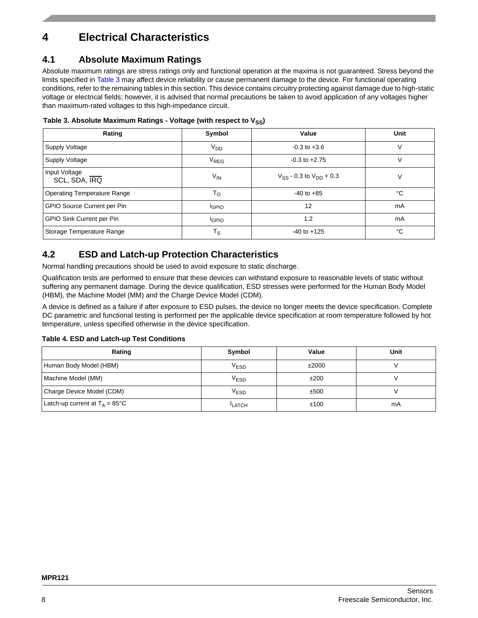# **4 Electrical Characteristics**

### **4.1 Absolute Maximum Ratings**

Absolute maximum ratings are stress ratings only and functional operation at the maxima is not guaranteed. Stress beyond the limits specified in [Table 3](#page-7-0) may affect device reliability or cause permanent damage to the device. For functional operating conditions, refer to the remaining tables in this section. This device contains circuitry protecting against damage due to high-static voltage or electrical fields; however, it is advised that normal precautions be taken to avoid application of any voltages higher than maximum-rated voltages to this high-impedance circuit.

<span id="page-7-0"></span>

| Table 3. Absolute Maximum Ratings - Voltage (with respect to V <sub>SS</sub> ) |  |  |
|--------------------------------------------------------------------------------|--|--|
|--------------------------------------------------------------------------------|--|--|

| Rating                             | Symbol            | Value                            | Unit |
|------------------------------------|-------------------|----------------------------------|------|
| Supply Voltage                     | V <sub>DD</sub>   | $-0.3$ to $+3.6$                 |      |
| Supply Voltage                     | V <sub>REG</sub>  | $-0.3$ to $+2.75$                | V    |
| Input Voltage<br>SCL, SDA, IRQ     | $V_{IN}$          | $V_{SS}$ - 0.3 to $V_{DD}$ + 0.3 | V    |
| <b>Operating Temperature Range</b> | $T_{\rm O}$       | $-40$ to $+85$                   | °C   |
| GPIO Source Current per Pin        | <sup>I</sup> GPIO | 12                               | mA   |
| <b>GPIO Sink Current per Pin</b>   | <b>IGPIO</b>      | 1.2                              | mA   |
| Storage Temperature Range          | $T_S$             | $-40$ to $+125$                  | °C   |

### **4.2 ESD and Latch-up Protection Characteristics**

Normal handling precautions should be used to avoid exposure to static discharge.

Qualification tests are performed to ensure that these devices can withstand exposure to reasonable levels of static without suffering any permanent damage. During the device qualification, ESD stresses were performed for the Human Body Model (HBM), the Machine Model (MM) and the Charge Device Model (CDM).

A device is defined as a failure if after exposure to ESD pulses, the device no longer meets the device specification. Complete DC parametric and functional testing is performed per the applicable device specification at room temperature followed by hot temperature, unless specified otherwise in the device specification.

### **Table 4. ESD and Latch-up Test Conditions**

| Rating                                   | Symbol             | Value | Unit |
|------------------------------------------|--------------------|-------|------|
| Human Body Model (HBM)                   | $V_{\mathsf{ESD}}$ | ±2000 |      |
| Machine Model (MM)                       | $V_{\mathsf{ESD}}$ | ±200  |      |
| Charge Device Model (CDM)                | $V_{ESD}$          | ±500  |      |
| Latch-up current at $T_A = 85^{\circ}$ C | <b>LATCH</b>       | ±100  | mA   |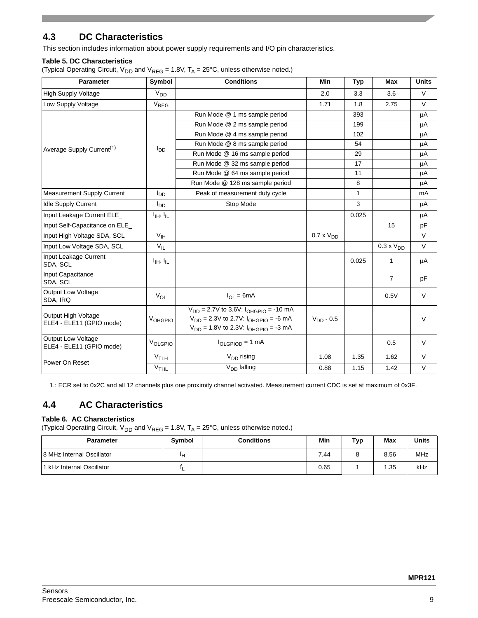## **4.3 DC Characteristics**

This section includes information about power supply requirements and I/O pin characteristics.

### **Table 5. DC Characteristics**

(Typical Operating Circuit,  $V_{DD}$  and  $V_{REG}$  = 1.8V,  $T_A$  = 25°C, unless otherwise noted.)

| <b>Parameter</b>                                | Symbol                                           | <b>Conditions</b>                                                                                                                                | Min                 | <b>Typ</b>   | Max                 | <b>Units</b> |
|-------------------------------------------------|--------------------------------------------------|--------------------------------------------------------------------------------------------------------------------------------------------------|---------------------|--------------|---------------------|--------------|
| <b>High Supply Voltage</b>                      | V <sub>DD</sub>                                  |                                                                                                                                                  | 2.0                 | 3.3          | 3.6                 | V            |
| Low Supply Voltage                              | $V_{REG}$                                        |                                                                                                                                                  | 1.71                | 1.8          | 2.75                | V            |
|                                                 |                                                  | Run Mode @ 1 ms sample period                                                                                                                    |                     | 393          |                     | μA           |
|                                                 |                                                  | Run Mode @ 2 ms sample period                                                                                                                    |                     | 199          |                     | μA           |
|                                                 |                                                  | Run Mode @ 4 ms sample period                                                                                                                    |                     | 102          |                     | $\mu$ A      |
|                                                 |                                                  | Run Mode @ 8 ms sample period                                                                                                                    |                     | 54           |                     | μA           |
| Average Supply Current <sup>(1)</sup>           |                                                  | Run Mode @ 16 ms sample period                                                                                                                   |                     | 29           |                     | μA           |
|                                                 |                                                  | Run Mode @ 32 ms sample period                                                                                                                   |                     | 17           |                     | μA           |
|                                                 |                                                  | Run Mode @ 64 ms sample period                                                                                                                   |                     | 11           |                     | μA           |
|                                                 |                                                  | Run Mode @ 128 ms sample period                                                                                                                  |                     | 8            |                     | μA           |
| <b>Measurement Supply Current</b>               | l <sub>DD</sub>                                  | Peak of measurement duty cycle                                                                                                                   |                     | $\mathbf{1}$ |                     | mA           |
| <b>Idle Supply Current</b>                      | l <sub>DD</sub>                                  | Stop Mode                                                                                                                                        |                     | 3            |                     | μA           |
| Input Leakage Current ELE                       | $I_{\text{IH}}, I_{\text{IL}}$                   |                                                                                                                                                  |                     | 0.025        |                     | μA           |
| Input Self-Capacitance on ELE                   |                                                  |                                                                                                                                                  |                     |              | 15                  | pF           |
| Input High Voltage SDA, SCL                     | V <sub>IH</sub>                                  |                                                                                                                                                  | $0.7 \times V_{DD}$ |              |                     | V            |
| Input Low Voltage SDA, SCL                      | $V_{IL}$                                         |                                                                                                                                                  |                     |              | $0.3 \times V_{DD}$ | V            |
| Input Leakage Current<br>SDA, SCL               | $I_{\text{IH}}$ , $I_{\text{IL}}$                |                                                                                                                                                  |                     | 0.025        | $\mathbf{1}$        | μA           |
| Input Capacitance<br>SDA, SCL                   |                                                  |                                                                                                                                                  |                     |              | $\overline{7}$      | pF           |
| Output Low Voltage<br>SDA, IRQ                  | $V_{OL}$                                         | $I_{OL} = 6mA$                                                                                                                                   |                     |              | 0.5V                | V            |
| Output High Voltage<br>ELE4 - ELE11 (GPIO mode) | VOHGPIO                                          | $V_{DD} = 2.7V$ to 3.6V: $I_{OHGPIO} = -10$ mA<br>$V_{DD} = 2.3V$ to 2.7V: $I_{OHGPIO} = -6$ mA<br>$V_{DD} = 1.8V$ to 2.3V: $I_{OHGPIO} = -3 mA$ | $V_{DD} - 0.5$      |              |                     | $\vee$       |
| Output Low Voltage<br>ELE4 - ELE11 (GPIO mode)  | VOLGPIO                                          | $I_{OLGPIOD} = 1$ mA                                                                                                                             |                     |              | 0.5                 | V            |
| Power On Reset                                  | V <sub>TLH</sub>                                 | $V_{DD}$ rising                                                                                                                                  | 1.08                | 1.35         | 1.62                | V            |
|                                                 | $I_{DD}$<br>V <sub>THL</sub><br>$V_{DD}$ falling | 0.88                                                                                                                                             | 1.15                | 1.42         | V                   |              |

1.: ECR set to 0x2C and all 12 channels plus one proximity channel activated. Measurement current CDC is set at maximum of 0x3F.

# **4.4 AC Characteristics**

### **Table 6. AC Characteristics**

(Typical Operating Circuit,  $V_{DD}$  and  $V_{REG} = 1.8V$ ,  $T_A = 25^{\circ}$ C, unless otherwise noted.)

| <b>Parameter</b>           | Symbol | Conditions | Min  | Typ | Max  | <b>Units</b> |
|----------------------------|--------|------------|------|-----|------|--------------|
| 18 MHz Internal Oscillator | ٠н.    |            | 7.44 |     | 8.56 | MHz          |
| 11 kHz Internal Oscillator | н<br>− |            | 0.65 |     | 1.35 | kHz          |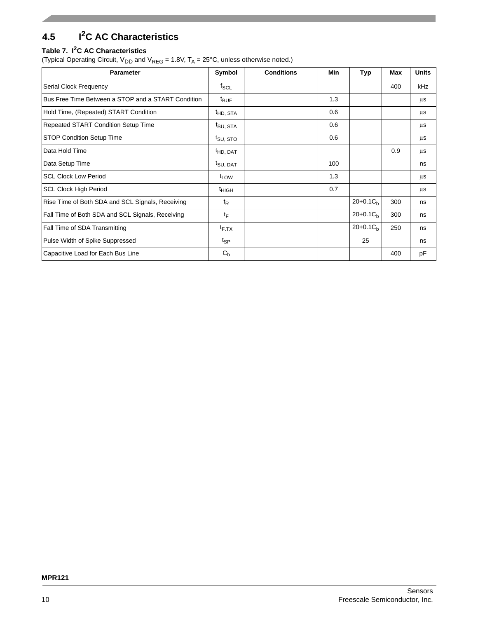# **4.5 I2C AC Characteristics**

### **Table 7. I2C AC Characteristics**

(Typical Operating Circuit,  $V_{DD}$  and  $V_{REG}$  = 1.8V,  $T_A$  = 25°C, unless otherwise noted.)

| <b>Parameter</b>                                   | Symbol               | <b>Conditions</b> | <b>Min</b> | <b>Typ</b>    | <b>Max</b> | <b>Units</b> |
|----------------------------------------------------|----------------------|-------------------|------------|---------------|------------|--------------|
| Serial Clock Frequency                             | $f_{SCL}$            |                   |            |               | 400        | kHz          |
| Bus Free Time Between a STOP and a START Condition | <sup>t</sup> BUF     |                   | 1.3        |               |            | μs           |
| Hold Time, (Repeated) START Condition              | <sup>t</sup> HD, STA |                   | 0.6        |               |            | μs           |
| Repeated START Condition Setup Time                | t <sub>SU, STA</sub> |                   | 0.6        |               |            | μs           |
| STOP Condition Setup Time                          | <sup>I</sup> SU, STO |                   | 0.6        |               |            | μs           |
| Data Hold Time                                     | <sup>I</sup> HD, DAT |                   |            |               | 0.9        | μs           |
| Data Setup Time                                    | t <sub>SU, DAT</sub> |                   | 100        |               |            | ns           |
| <b>SCL Clock Low Period</b>                        | t <sub>LOW</sub>     |                   | 1.3        |               |            | μs           |
| <b>SCL Clock High Period</b>                       | $t_{HIGH}$           |                   | 0.7        |               |            | μs           |
| Rise Time of Both SDA and SCL Signals, Receiving   | $t_{\mathsf{R}}$     |                   |            | $20+0.1C_h$   | 300        | ns           |
| Fall Time of Both SDA and SCL Signals, Receiving   | tF                   |                   |            | $20+0.1C_h$   | 300        | ns           |
| Fall Time of SDA Transmitting                      | $t_{F.TX}$           |                   |            | $20+0.1C_{b}$ | 250        | ns           |
| Pulse Width of Spike Suppressed                    | $t_{\mathsf{SP}}$    |                   |            | 25            |            | ns           |
| Capacitive Load for Each Bus Line                  | $C_{b}$              |                   |            |               | 400        | pF           |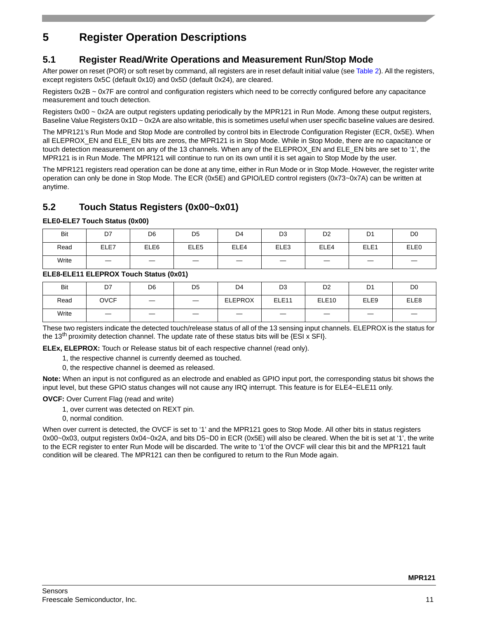# **5 Register Operation Descriptions**

## **5.1 Register Read/Write Operations and Measurement Run/Stop Mode**

After power on reset (POR) or soft reset by command, all registers are in reset default initial value (see [Table 2\)](#page-4-0). All the registers, except registers 0x5C (default 0x10) and 0x5D (default 0x24), are cleared.

Registers 0x2B ~ 0x7F are control and configuration registers which need to be correctly configured before any capacitance measurement and touch detection.

Registers 0x00 ~ 0x2A are output registers updating periodically by the MPR121 in Run Mode. Among these output registers, Baseline Value Registers 0x1D ~ 0x2A are also writable, this is sometimes useful when user specific baseline values are desired.

The MPR121's Run Mode and Stop Mode are controlled by control bits in Electrode Configuration Register (ECR, 0x5E). When all ELEPROX\_EN and ELE\_EN bits are zeros, the MPR121 is in Stop Mode. While in Stop Mode, there are no capacitance or touch detection measurement on any of the 13 channels. When any of the ELEPROX\_EN and ELE\_EN bits are set to '1', the MPR121 is in Run Mode. The MPR121 will continue to run on its own until it is set again to Stop Mode by the user.

The MPR121 registers read operation can be done at any time, either in Run Mode or in Stop Mode. However, the register write operation can only be done in Stop Mode. The ECR (0x5E) and GPIO/LED control registers (0x73~0x7A) can be written at anytime.

## **5.2 Touch Status Registers (0x00~0x01)**

**ELE0-ELE7 Touch Status (0x00)**

| Bit   | D7                       | D <sub>6</sub>   | D <sub>5</sub>   | D4   | D <sub>3</sub> | D <sub>2</sub> | D <sub>1</sub>   | D <sub>0</sub> |
|-------|--------------------------|------------------|------------------|------|----------------|----------------|------------------|----------------|
| Read  | ELE7                     | ELE <sub>6</sub> | ELE <sub>5</sub> | ELE4 | ELE3           | ELE4           | ELE <sub>1</sub> | ELE0           |
| Write | $\overline{\phantom{0}}$ |                  |                  | _    | _              |                | _                |                |

### **ELE8-ELE11 ELEPROX Touch Status (0x01)**

| Bit   | D7                | D <sub>6</sub>    | D <sub>5</sub>           | D <sub>4</sub> | D <sub>3</sub>    | D <sub>2</sub>    | D <sub>1</sub>   | D <sub>0</sub> |
|-------|-------------------|-------------------|--------------------------|----------------|-------------------|-------------------|------------------|----------------|
| Read  | <b>OVCF</b>       | $\hspace{0.05cm}$ | $\overline{\phantom{a}}$ | <b>ELEPROX</b> | ELE <sub>11</sub> | ELE <sub>10</sub> | ELE <sub>9</sub> | ELE8           |
| Write | $\hspace{0.05cm}$ |                   |                          | _              | $\hspace{0.05cm}$ | _                 |                  |                |

These two registers indicate the detected touch/release status of all of the 13 sensing input channels. ELEPROX is the status for the 13<sup>th</sup> proximity detection channel. The update rate of these status bits will be  $\{ESI \times SFI\}$ .

**ELEx, ELEPROX:** Touch or Release status bit of each respective channel (read only).

1, the respective channel is currently deemed as touched.

0, the respective channel is deemed as released.

**Note:** When an input is not configured as an electrode and enabled as GPIO input port, the corresponding status bit shows the input level, but these GPIO status changes will not cause any IRQ interrupt. This feature is for ELE4~ELE11 only.

**OVCF:** Over Current Flag (read and write)

- 1, over current was detected on REXT pin.
- 0, normal condition.

When over current is detected, the OVCF is set to '1' and the MPR121 goes to Stop Mode. All other bits in status registers 0x00~0x03, output registers 0x04~0x2A, and bits D5~D0 in ECR (0x5E) will also be cleared. When the bit is set at '1', the write to the ECR register to enter Run Mode will be discarded. The write to '1'of the OVCF will clear this bit and the MPR121 fault condition will be cleared. The MPR121 can then be configured to return to the Run Mode again.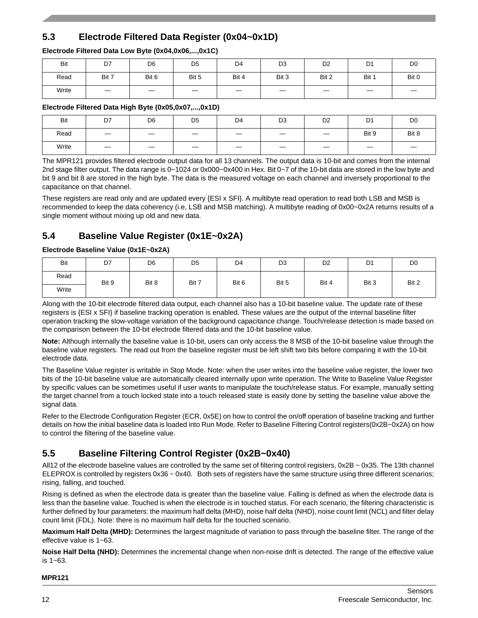# **5.3 Electrode Filtered Data Register (0x04~0x1D)**

### **Electrode Filtered Data Low Byte (0x04,0x06,...,0x1C)**

| Bit   | D7                | D <sub>6</sub>    | D <sub>5</sub> | D4    | D <sub>3</sub> | D <sub>2</sub>    | D <sub>1</sub> | D <sub>0</sub> |
|-------|-------------------|-------------------|----------------|-------|----------------|-------------------|----------------|----------------|
| Read  | Bit 7             | Bit 6             | Bit 5          | Bit 4 | Bit 3          | Bit 2             | Bit 1          | Bit 0          |
| Write | $\hspace{0.05cm}$ | $\hspace{0.05cm}$ |                |       |                | $\hspace{0.05cm}$ |                | _              |

### **Electrode Filtered Data High Byte (0x05,0x07,...,0x1D)**

| Bit   | D7                              | D <sub>6</sub>                  | D <sub>5</sub> | D <sub>4</sub>           | D <sub>3</sub>                  | D <sub>2</sub>                  | D <sub>1</sub>           | D <sub>0</sub> |
|-------|---------------------------------|---------------------------------|----------------|--------------------------|---------------------------------|---------------------------------|--------------------------|----------------|
| Read  | $\overline{\phantom{m}}$        | $\hspace{0.1mm}-\hspace{0.1mm}$ |                | $\overline{\phantom{0}}$ | $\hspace{0.1mm}-\hspace{0.1mm}$ | $\hspace{0.1mm}-\hspace{0.1mm}$ | Bit 9                    | Bit 8          |
| Write | $\hspace{0.1mm}-\hspace{0.1mm}$ | $\hspace{0.1mm}-\hspace{0.1mm}$ |                |                          | $\hspace{0.05cm}$               | $\hspace{0.1mm}-\hspace{0.1mm}$ | $\overline{\phantom{0}}$ |                |

The MPR121 provides filtered electrode output data for all 13 channels. The output data is 10-bit and comes from the internal 2nd stage filter output. The data range is 0~1024 or 0x000~0x400 in Hex. Bit 0~7 of the 10-bit data are stored in the low byte and bit 9 and bit 8 are stored in the high byte. The data is the measured voltage on each channel and inversely proportional to the capacitance on that channel.

These registers are read only and are updated every {ESI x SFI}. A multibyte read operation to read both LSB and MSB is recommended to keep the data coherency (i.e, LSB and MSB matching). A multibyte reading of 0x00~0x2A returns results of a single moment without mixing up old and new data.

## **5.4 Baseline Value Register (0x1E~0x2A)**

### **Electrode Baseline Value (0x1E~0x2A)**

| Bit   | D7    | D <sub>6</sub> | D <sub>5</sub> | D <sub>4</sub> | D <sub>3</sub> | D <sub>2</sub> | D1    | D <sub>0</sub> |
|-------|-------|----------------|----------------|----------------|----------------|----------------|-------|----------------|
| Read  | Bit 9 | Bit 8          | Bit 7          | Bit 6          | Bit 5          | Bit 4          | Bit 3 | Bit 2          |
| Write |       |                |                |                |                |                |       |                |

Along with the 10-bit electrode filtered data output, each channel also has a 10-bit baseline value. The update rate of these registers is {ESI x SFI} if baseline tracking operation is enabled. These values are the output of the internal baseline filter operation tracking the slow-voltage variation of the background capacitance change. Touch/release detection is made based on the comparison between the 10-bit electrode filtered data and the 10-bit baseline value.

**Note:** Although internally the baseline value is 10-bit, users can only access the 8 MSB of the 10-bit baseline value through the baseline value registers. The read out from the baseline register must be left shift two bits before comparing it with the 10-bit electrode data.

The Baseline Value register is writable in Stop Mode. Note: when the user writes into the baseline value register, the lower two bits of the 10-bit baseline value are automatically cleared internally upon write operation. The Write to Baseline Value Register by specific values can be sometimes useful if user wants to manipulate the touch/release status. For example, manually setting the target channel from a touch locked state into a touch released state is easily done by setting the baseline value above the signal data.

Refer to the Electrode Configuration Register (ECR, 0x5E) on how to control the on/off operation of baseline tracking and further details on how the initial baseline data is loaded into Run Mode. Refer to Baseline Filtering Control registers(0x2B~0x2A) on how to control the filtering of the baseline value.

# **5.5 Baseline Filtering Control Register (0x2B~0x40)**

All12 of the electrode baseline values are controlled by the same set of filtering control registers,  $0x2B \sim 0x35$ . The 13th channel ELEPROX is controlled by registers 0x36 ~ 0x40. Both sets of registers have the same structure using three different scenarios; rising, falling, and touched.

Rising is defined as when the electrode data is greater than the baseline value. Falling is defined as when the electrode data is less than the baseline value. Touched is when the electrode is in touched status. For each scenario, the filtering characteristic is further defined by four parameters: the maximum half delta (MHD), noise half delta (NHD), noise count limit (NCL) and filter delay count limit (FDL). Note: there is no maximum half delta for the touched scenario.

**Maximum Half Delta (MHD):** Determines the largest magnitude of variation to pass through the baseline filter. The range of the effective value is 1~63.

**Noise Half Delta (NHD):** Determines the incremental change when non-noise drift is detected. The range of the effective value is 1~63.

#### **MPR121**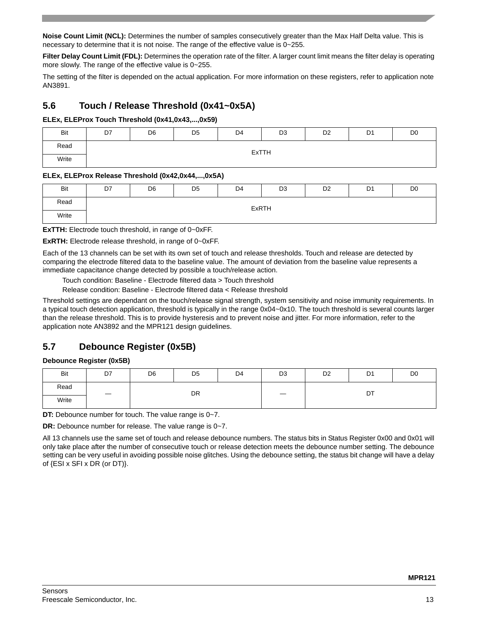**Noise Count Limit (NCL):** Determines the number of samples consecutively greater than the Max Half Delta value. This is necessary to determine that it is not noise. The range of the effective value is 0~255.

**Filter Delay Count Limit (FDL):** Determines the operation rate of the filter. A larger count limit means the filter delay is operating more slowly. The range of the effective value is 0~255.

The setting of the filter is depended on the actual application. For more information on these registers, refer to application note AN3891.

### **5.6 Touch / Release Threshold (0x41~0x5A)**

### **ELEx, ELEProx Touch Threshold (0x41,0x43,...,0x59)**

| Bit   | D7 | D <sub>6</sub> | D <sub>5</sub> | D4 | D <sub>3</sub> | D <sub>2</sub> | D <sub>1</sub> | D <sub>0</sub> |
|-------|----|----------------|----------------|----|----------------|----------------|----------------|----------------|
| Read  |    |                |                |    | <b>ExTTH</b>   |                |                |                |
| Write |    |                |                |    |                |                |                |                |

### **ELEx, ELEProx Release Threshold (0x42,0x44,...,0x5A)**

| Bit   | D7 | D <sub>6</sub> | D <sub>5</sub> | D <sub>4</sub> | D <sub>3</sub> | D <sub>2</sub> | D <sub>1</sub> | D <sub>0</sub> |
|-------|----|----------------|----------------|----------------|----------------|----------------|----------------|----------------|
| Read  |    |                |                |                | ExRTH          |                |                |                |
| Write |    |                |                |                |                |                |                |                |

**ExTTH:** Electrode touch threshold, in range of 0~0xFF.

**ExRTH:** Electrode release threshold, in range of 0~0xFF.

Each of the 13 channels can be set with its own set of touch and release thresholds. Touch and release are detected by comparing the electrode filtered data to the baseline value. The amount of deviation from the baseline value represents a immediate capacitance change detected by possible a touch/release action.

Touch condition: Baseline - Electrode filtered data > Touch threshold

Release condition: Baseline - Electrode filtered data < Release threshold

Threshold settings are dependant on the touch/release signal strength, system sensitivity and noise immunity requirements. In a typical touch detection application, threshold is typically in the range 0x04~0x10. The touch threshold is several counts larger than the release threshold. This is to provide hysteresis and to prevent noise and jitter. For more information, refer to the application note AN3892 and the MPR121 design guidelines.

## **5.7 Debounce Register (0x5B)**

### **Debounce Register (0x5B)**

| Bit   | D7 | D <sub>6</sub> | D <sub>5</sub> | D4 | D <sub>3</sub> | D <sub>2</sub> | D1 | D <sub>0</sub> |
|-------|----|----------------|----------------|----|----------------|----------------|----|----------------|
| Read  |    |                | DR             |    |                |                | DT |                |
| Write |    |                |                |    |                |                |    |                |

**DT:** Debounce number for touch. The value range is 0~7.

**DR:** Debounce number for release. The value range is 0~7.

All 13 channels use the same set of touch and release debounce numbers. The status bits in Status Register 0x00 and 0x01 will only take place after the number of consecutive touch or release detection meets the debounce number setting. The debounce setting can be very useful in avoiding possible noise glitches. Using the debounce setting, the status bit change will have a delay of {ESI x SFI x DR (or DT)}.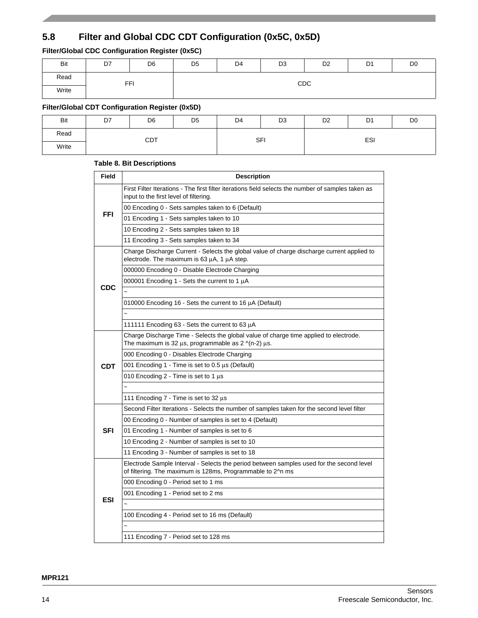# **5.8 Filter and Global CDC CDT Configuration (0x5C, 0x5D)**

### **Filter/Global CDC Configuration Register (0x5C)**

| Bit   | D7         | D <sub>6</sub> | D <sub>5</sub> | D4  | D <sub>3</sub> | D <sub>2</sub> | D <sub>1</sub> | D <sub>0</sub> |  |  |  |
|-------|------------|----------------|----------------|-----|----------------|----------------|----------------|----------------|--|--|--|
| Read  | <b>FFI</b> |                |                | CDC |                |                |                |                |  |  |  |
| Write |            |                |                |     |                |                |                |                |  |  |  |

### **Filter/Global CDT Configuration Register (0x5D)**

| Bit   | D7 | D <sub>6</sub> | D <sub>5</sub> | D <sub>4</sub> | D <sub>3</sub> | D <sub>2</sub> | D <sub>1</sub> | D <sub>0</sub> |
|-------|----|----------------|----------------|----------------|----------------|----------------|----------------|----------------|
| Read  |    | <b>CDT</b>     |                | <b>SFI</b>     |                |                | ESI            |                |
| Write |    |                |                |                |                |                |                |                |

### **Table 8. Bit Descriptions**

| <b>Field</b> | <b>Description</b>                                                                                                                                            |
|--------------|---------------------------------------------------------------------------------------------------------------------------------------------------------------|
|              | First Filter Iterations - The first filter iterations field selects the number of samples taken as<br>input to the first level of filtering.                  |
|              | 00 Encoding 0 - Sets samples taken to 6 (Default)                                                                                                             |
| <b>FFI</b>   | 01 Encoding 1 - Sets samples taken to 10                                                                                                                      |
|              | 10 Encoding 2 - Sets samples taken to 18                                                                                                                      |
|              | 11 Encoding 3 - Sets samples taken to 34                                                                                                                      |
|              | Charge Discharge Current - Selects the global value of charge discharge current applied to<br>electrode. The maximum is 63 μA, 1 μA step.                     |
|              | 000000 Encoding 0 - Disable Electrode Charging                                                                                                                |
|              | 000001 Encoding 1 - Sets the current to 1 µA                                                                                                                  |
| <b>CDC</b>   |                                                                                                                                                               |
|              | 010000 Encoding 16 - Sets the current to 16 $\mu$ A (Default)                                                                                                 |
|              |                                                                                                                                                               |
|              | 111111 Encoding 63 - Sets the current to 63 µA                                                                                                                |
|              | Charge Discharge Time - Selects the global value of charge time applied to electrode.<br>The maximum is 32 $\mu$ s, programmable as 2 $\gamma$ (n-2) $\mu$ s. |
|              | 000 Encoding 0 - Disables Electrode Charging                                                                                                                  |
| <b>CDT</b>   | 001 Encoding 1 - Time is set to 0.5 µs (Default)                                                                                                              |
|              | 010 Encoding 2 - Time is set to 1 $\mu$ s                                                                                                                     |
|              |                                                                                                                                                               |
|              | 111 Encoding 7 - Time is set to 32 µs                                                                                                                         |
|              | Second Filter Iterations - Selects the number of samples taken for the second level filter                                                                    |
|              | 00 Encoding 0 - Number of samples is set to 4 (Default)                                                                                                       |
| <b>SFI</b>   | 01 Encoding 1 - Number of samples is set to 6                                                                                                                 |
|              | 10 Encoding 2 - Number of samples is set to 10                                                                                                                |
|              | 11 Encoding 3 - Number of samples is set to 18                                                                                                                |
|              | Electrode Sample Interval - Selects the period between samples used for the second level<br>of filtering. The maximum is 128ms, Programmable to 2^n ms        |
|              | 000 Encoding 0 - Period set to 1 ms                                                                                                                           |
| <b>ESI</b>   | 001 Encoding 1 - Period set to 2 ms                                                                                                                           |
|              |                                                                                                                                                               |
|              | 100 Encoding 4 - Period set to 16 ms (Default)                                                                                                                |
|              |                                                                                                                                                               |
|              | 111 Encoding 7 - Period set to 128 ms                                                                                                                         |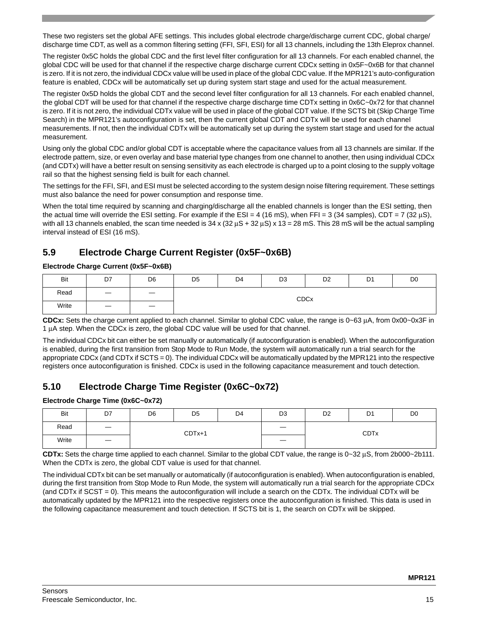These two registers set the global AFE settings. This includes global electrode charge/discharge current CDC, global charge/ discharge time CDT, as well as a common filtering setting (FFI, SFI, ESI) for all 13 channels, including the 13th Eleprox channel.

The register 0x5C holds the global CDC and the first level filter configuration for all 13 channels. For each enabled channel, the global CDC will be used for that channel if the respective charge discharge current CDCx setting in 0x5F~0x6B for that channel is zero. If it is not zero, the individual CDCx value will be used in place of the global CDC value. If the MPR121's auto-configuration feature is enabled, CDCx will be automatically set up during system start stage and used for the actual measurement.

The register 0x5D holds the global CDT and the second level filter configuration for all 13 channels. For each enabled channel, the global CDT will be used for that channel if the respective charge discharge time CDTx setting in 0x6C~0x72 for that channel is zero. If it is not zero, the individual CDTx value will be used in place of the global CDT value. If the SCTS bit (Skip Charge Time Search) in the MPR121's autoconfiguration is set, then the current global CDT and CDTx will be used for each channel measurements. If not, then the individual CDTx will be automatically set up during the system start stage and used for the actual measurement.

Using only the global CDC and/or global CDT is acceptable where the capacitance values from all 13 channels are similar. If the electrode pattern, size, or even overlay and base material type changes from one channel to another, then using individual CDCx (and CDTx) will have a better result on sensing sensitivity as each electrode is charged up to a point closing to the supply voltage rail so that the highest sensing field is built for each channel.

The settings for the FFI, SFI, and ESI must be selected according to the system design noise filtering requirement. These settings must also balance the need for power consumption and response time.

When the total time required by scanning and charging/discharge all the enabled channels is longer than the ESI setting, then the actual time will override the ESI setting. For example if the ESI = 4 (16 mS), when FFI = 3 (34 samples), CDT = 7 (32  $\mu$ S), with all 13 channels enabled, the scan time needed is  $34 \times (32 \mu s + 32 \mu s) \times 13 = 28 \text{ m}$ S. This 28 mS will be the actual sampling interval instead of ESI (16 mS).

# **5.9 Electrode Charge Current Register (0x5F~0x6B)**

### **Electrode Charge Current (0x5F~0x6B)**

| Bit   | D7                | D <sub>6</sub>    | D <sub>5</sub> | D4 | D <sub>3</sub> | D <sub>2</sub> | D <sub>1</sub> | D <sub>0</sub> |
|-------|-------------------|-------------------|----------------|----|----------------|----------------|----------------|----------------|
| Read  |                   |                   |                |    |                | <b>CDCx</b>    |                |                |
| Write | $\hspace{0.05cm}$ | $\hspace{0.05cm}$ |                |    |                |                |                |                |

**CDCx:** Sets the charge current applied to each channel. Similar to global CDC value, the range is 0~63 μA, from 0x00~0x3F in 1 μA step. When the CDCx is zero, the global CDC value will be used for that channel.

The individual CDCx bit can either be set manually or automatically (if autoconfiguration is enabled). When the autoconfiguration is enabled, during the first transition from Stop Mode to Run Mode, the system will automatically run a trial search for the appropriate CDCx (and CDTx if SCTS = 0). The individual CDCx will be automatically updated by the MPR121 into the respective registers once autoconfiguration is finished. CDCx is used in the following capacitance measurement and touch detection.

## **5.10 Electrode Charge Time Register (0x6C~0x72)**

### **Electrode Charge Time (0x6C~0x72)**

| Bit   | D7                              | D <sub>6</sub> | D <sub>5</sub> | D4 | D <sub>3</sub>    | D <sub>2</sub> | D <sub>1</sub> | D <sub>0</sub> |
|-------|---------------------------------|----------------|----------------|----|-------------------|----------------|----------------|----------------|
| Read  | $\hspace{0.1mm}-\hspace{0.1mm}$ |                | $CDTx+1$       |    | $\hspace{0.05cm}$ |                | <b>CDTx</b>    |                |
| Write | $\hspace{0.05cm}$               |                |                |    | $\hspace{0.05cm}$ |                |                |                |

**CDTx:** Sets the charge time applied to each channel. Similar to the global CDT value, the range is 0~32 μS, from 2b000~2b111. When the CDTx is zero, the global CDT value is used for that channel.

The individual CDTx bit can be set manually or automatically (if autoconfiguration is enabled). When autoconfiguration is enabled, during the first transition from Stop Mode to Run Mode, the system will automatically run a trial search for the appropriate CDCx (and CDTx if  $SCST = 0$ ). This means the autoconfiguration will include a search on the CDTx. The individual CDTx will be automatically updated by the MPR121 into the respective registers once the autoconfiguration is finished. This data is used in the following capacitance measurement and touch detection. If SCTS bit is 1, the search on CDTx will be skipped.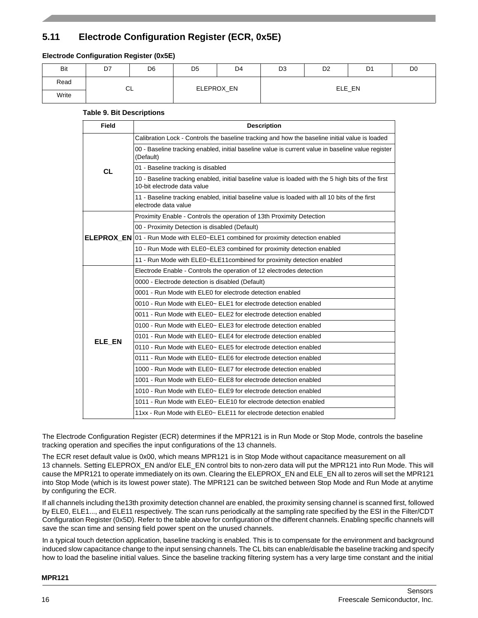# **5.11 Electrode Configuration Register (ECR, 0x5E)**

### **Electrode Configuration Register (0x5E)**

| Bit   | D7 | D <sub>6</sub> | D <sub>5</sub> | D <sub>4</sub> | D <sub>3</sub> | D <sub>2</sub> | D <sub>1</sub> | D <sub>0</sub> |  |  |
|-------|----|----------------|----------------|----------------|----------------|----------------|----------------|----------------|--|--|
| Read  |    | CL             |                |                | ELE_EN         |                |                |                |  |  |
| Write |    |                |                | ELEPROX_EN     |                |                |                |                |  |  |

### **Table 9. Bit Descriptions**

| Field     | <b>Description</b>                                                                                                                |
|-----------|-----------------------------------------------------------------------------------------------------------------------------------|
|           | Calibration Lock - Controls the baseline tracking and how the baseline initial value is loaded                                    |
|           | 00 - Baseline tracking enabled, initial baseline value is current value in baseline value register<br>(Default)                   |
| <b>CL</b> | 01 - Baseline tracking is disabled                                                                                                |
|           | 10 - Baseline tracking enabled, initial baseline value is loaded with the 5 high bits of the first<br>10-bit electrode data value |
|           | 11 - Baseline tracking enabled, initial baseline value is loaded with all 10 bits of the first<br>electrode data value            |
|           | Proximity Enable - Controls the operation of 13th Proximity Detection                                                             |
|           | 00 - Proximity Detection is disabled (Default)                                                                                    |
|           | <b>ELEPROX_EN</b> $[01 - Run$ Mode with ELE0~ELE1 combined for proximity detection enabled                                        |
|           | 10 - Run Mode with ELE0~ELE3 combined for proximity detection enabled                                                             |
|           | 11 - Run Mode with ELE0~ELE11combined for proximity detection enabled                                                             |
|           | Electrode Enable - Controls the operation of 12 electrodes detection                                                              |
|           | 0000 - Electrode detection is disabled (Default)                                                                                  |
|           | 0001 - Run Mode with ELE0 for electrode detection enabled                                                                         |
|           | 0010 - Run Mode with ELE0~ ELE1 for electrode detection enabled                                                                   |
|           | 0011 - Run Mode with ELE0~ ELE2 for electrode detection enabled                                                                   |
|           | 0100 - Run Mode with ELE0~ ELE3 for electrode detection enabled                                                                   |
| ELE_EN    | 0101 - Run Mode with ELE0~ ELE4 for electrode detection enabled                                                                   |
|           | 0110 - Run Mode with ELE0~ ELE5 for electrode detection enabled                                                                   |
|           | 0111 - Run Mode with ELE0~ ELE6 for electrode detection enabled                                                                   |
|           | 1000 - Run Mode with ELE0~ ELE7 for electrode detection enabled                                                                   |
|           | 1001 - Run Mode with ELE0~ ELE8 for electrode detection enabled                                                                   |
|           | 1010 - Run Mode with ELE0~ ELE9 for electrode detection enabled                                                                   |
|           | 1011 - Run Mode with ELE0~ ELE10 for electrode detection enabled                                                                  |
|           | 11xx - Run Mode with ELE0~ ELE11 for electrode detection enabled                                                                  |

The Electrode Configuration Register (ECR) determines if the MPR121 is in Run Mode or Stop Mode, controls the baseline tracking operation and specifies the input configurations of the 13 channels.

The ECR reset default value is 0x00, which means MPR121 is in Stop Mode without capacitance measurement on all 13 channels. Setting ELEPROX\_EN and/or ELE\_EN control bits to non-zero data will put the MPR121 into Run Mode. This will cause the MPR121 to operate immediately on its own. Clearing the ELEPROX\_EN and ELE\_EN all to zeros will set the MPR121 into Stop Mode (which is its lowest power state). The MPR121 can be switched between Stop Mode and Run Mode at anytime by configuring the ECR.

If all channels including the13th proximity detection channel are enabled, the proximity sensing channel is scanned first, followed by ELE0, ELE1..., and ELE11 respectively. The scan runs periodically at the sampling rate specified by the ESI in the Filter/CDT Configuration Register (0x5D). Refer to the table above for configuration of the different channels. Enabling specific channels will save the scan time and sensing field power spent on the unused channels.

In a typical touch detection application, baseline tracking is enabled. This is to compensate for the environment and background induced slow capacitance change to the input sensing channels. The CL bits can enable/disable the baseline tracking and specify how to load the baseline initial values. Since the baseline tracking filtering system has a very large time constant and the initial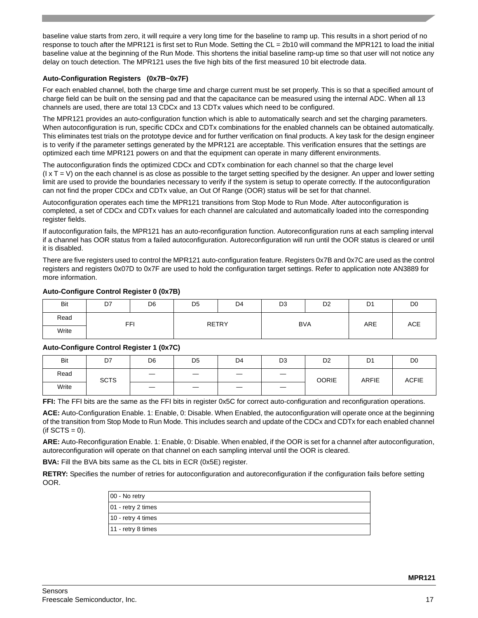baseline value starts from zero, it will require a very long time for the baseline to ramp up. This results in a short period of no response to touch after the MPR121 is first set to Run Mode. Setting the CL = 2b10 will command the MPR121 to load the initial baseline value at the beginning of the Run Mode. This shortens the initial baseline ramp-up time so that user will not notice any delay on touch detection. The MPR121 uses the five high bits of the first measured 10 bit electrode data.

#### **Auto-Configuration Registers (0x7B~0x7F)**

For each enabled channel, both the charge time and charge current must be set properly. This is so that a specified amount of charge field can be built on the sensing pad and that the capacitance can be measured using the internal ADC. When all 13 channels are used, there are total 13 CDCx and 13 CDTx values which need to be configured.

The MPR121 provides an auto-configuration function which is able to automatically search and set the charging parameters. When autoconfiguration is run, specific CDCx and CDTx combinations for the enabled channels can be obtained automatically. This eliminates test trials on the prototype device and for further verification on final products. A key task for the design engineer is to verify if the parameter settings generated by the MPR121 are acceptable. This verification ensures that the settings are optimized each time MPR121 powers on and that the equipment can operate in many different environments.

The autoconfiguration finds the optimized CDCx and CDTx combination for each channel so that the charge level  $(I \times T = V)$  on the each channel is as close as possible to the target setting specified by the designer. An upper and lower setting limit are used to provide the boundaries necessary to verify if the system is setup to operate correctly. If the autoconfiguration can not find the proper CDCx and CDTx value, an Out Of Range (OOR) status will be set for that channel.

Autoconfiguration operates each time the MPR121 transitions from Stop Mode to Run Mode. After autoconfiguration is completed, a set of CDCx and CDTx values for each channel are calculated and automatically loaded into the corresponding register fields.

If autoconfiguration fails, the MPR121 has an auto-reconfiguration function. Autoreconfiguration runs at each sampling interval if a channel has OOR status from a failed autoconfiguration. Autoreconfiguration will run until the OOR status is cleared or until it is disabled.

There are five registers used to control the MPR121 auto-configuration feature. Registers 0x7B and 0x7C are used as the control registers and registers 0x07D to 0x7F are used to hold the configuration target settings. Refer to application note AN3889 for more information.

| Bit   | D7         | D <sub>6</sub> | D <sub>5</sub> | D4 | D <sub>3</sub> | D <sub>2</sub> | D <sub>1</sub> | D <sub>0</sub> |
|-------|------------|----------------|----------------|----|----------------|----------------|----------------|----------------|
| Read  | <b>FFI</b> |                | <b>RETRY</b>   |    | <b>BVA</b>     |                | ARE            | <b>ACE</b>     |
| Write |            |                |                |    |                |                |                |                |

#### **Auto-Configure Control Register 0 (0x7B)**

### **Auto-Configure Control Register 1 (0x7C)**

| Bit   | D7          | D <sub>6</sub> | D <sub>5</sub> | D4                              | D <sub>3</sub>    | D <sub>2</sub> | D <sub>1</sub> | D <sub>0</sub> |
|-------|-------------|----------------|----------------|---------------------------------|-------------------|----------------|----------------|----------------|
| Read  | <b>SCTS</b> |                |                | $\hspace{0.1mm}-\hspace{0.1mm}$ | $\hspace{0.05cm}$ | <b>OORIE</b>   | <b>ARFIE</b>   | <b>ACFIE</b>   |
| Write |             |                | _              |                                 |                   |                |                |                |

**FFI:** The FFI bits are the same as the FFI bits in register 0x5C for correct auto-configuration and reconfiguration operations.

**ACE:** Auto-Configuration Enable. 1: Enable, 0: Disable. When Enabled, the autoconfiguration will operate once at the beginning of the transition from Stop Mode to Run Mode. This includes search and update of the CDCx and CDTx for each enabled channel  $(if SCTS = 0).$ 

**ARE:** Auto-Reconfiguration Enable. 1: Enable, 0: Disable. When enabled, if the OOR is set for a channel after autoconfiguration, autoreconfiguration will operate on that channel on each sampling interval until the OOR is cleared.

**BVA:** Fill the BVA bits same as the CL bits in ECR (0x5E) register.

**RETRY:** Specifies the number of retries for autoconfiguration and autoreconfiguration if the configuration fails before setting OOR.

| 00 - No retry      |  |
|--------------------|--|
| 01 - retry 2 times |  |
| 10 - retry 4 times |  |
| 11 - retry 8 times |  |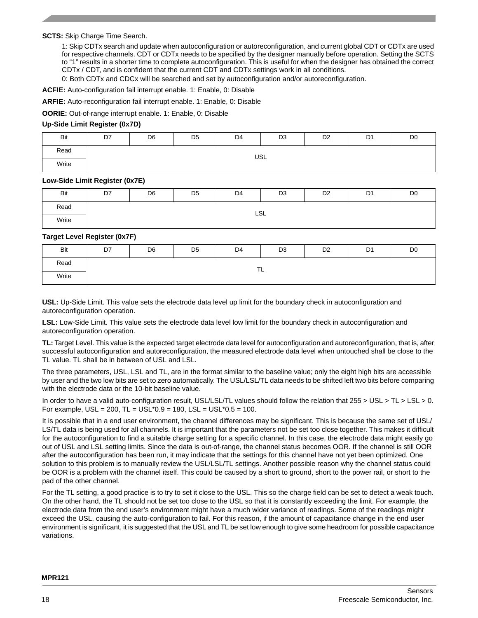**SCTS:** Skip Charge Time Search.

1: Skip CDTx search and update when autoconfiguration or autoreconfiguration, and current global CDT or CDTx are used for respective channels. CDT or CDTx needs to be specified by the designer manually before operation. Setting the SCTS to "1" results in a shorter time to complete autoconfiguration. This is useful for when the designer has obtained the correct CDTx / CDT, and is confident that the current CDT and CDTx settings work in all conditions.

0: Both CDTx and CDCx will be searched and set by autoconfiguration and/or autoreconfiguration.

**ACFIE:** Auto-configuration fail interrupt enable. 1: Enable, 0: Disable

**ARFIE:** Auto-reconfiguration fail interrupt enable. 1: Enable, 0: Disable

**OORIE:** Out-of-range interrupt enable. 1: Enable, 0: Disable

#### **Up-Side Limit Register (0x7D)**

| Bit   | D7  | D <sub>6</sub> | D <sub>5</sub> | D4 | D <sub>3</sub> | D <sub>2</sub> | D <sub>1</sub> | D <sub>0</sub> |  |  |
|-------|-----|----------------|----------------|----|----------------|----------------|----------------|----------------|--|--|
| Read  | USL |                |                |    |                |                |                |                |  |  |
| Write |     |                |                |    |                |                |                |                |  |  |

#### **Low-Side Limit Register (0x7E)**

| Bit   | D7 | D <sub>6</sub> | D <sub>5</sub> | D <sub>4</sub> | D <sub>3</sub> | D <sub>2</sub> | D <sub>1</sub> | D <sub>0</sub> |
|-------|----|----------------|----------------|----------------|----------------|----------------|----------------|----------------|
| Read  |    |                |                | LSL            |                |                |                |                |
| Write |    |                |                |                |                |                |                |                |

#### **Target Level Register (0x7F)**

| Bit   | D7      | D <sub>6</sub> | D <sub>5</sub> | D <sub>4</sub> | D <sub>3</sub> | D <sub>2</sub> | D <sub>1</sub> | D <sub>0</sub> |  |  |
|-------|---------|----------------|----------------|----------------|----------------|----------------|----------------|----------------|--|--|
| Read  | ÷<br>.∟ |                |                |                |                |                |                |                |  |  |
| Write |         |                |                |                |                |                |                |                |  |  |

**USL:** Up-Side Limit. This value sets the electrode data level up limit for the boundary check in autoconfiguration and autoreconfiguration operation.

**LSL:** Low-Side Limit. This value sets the electrode data level low limit for the boundary check in autoconfiguration and autoreconfiguration operation.

**TL:** Target Level. This value is the expected target electrode data level for autoconfiguration and autoreconfiguration, that is, after successful autoconfiguration and autoreconfiguration, the measured electrode data level when untouched shall be close to the TL value. TL shall be in between of USL and LSL.

The three parameters, USL, LSL and TL, are in the format similar to the baseline value; only the eight high bits are accessible by user and the two low bits are set to zero automatically. The USL/LSL/TL data needs to be shifted left two bits before comparing with the electrode data or the 10-bit baseline value.

In order to have a valid auto-configuration result, USL/LSL/TL values should follow the relation that 255 > USL > TL > LSL > 0. For example,  $USL = 200$ ,  $TL = USL*0.9 = 180$ ,  $LSL = USL*0.5 = 100$ .

It is possible that in a end user environment, the channel differences may be significant. This is because the same set of USL/ LS/TL data is being used for all channels. It is important that the parameters not be set too close together. This makes it difficult for the autoconfiguration to find a suitable charge setting for a specific channel. In this case, the electrode data might easily go out of USL and LSL setting limits. Since the data is out-of-range, the channel status becomes OOR. If the channel is still OOR after the autoconfiguration has been run, it may indicate that the settings for this channel have not yet been optimized. One solution to this problem is to manually review the USL/LSL/TL settings. Another possible reason why the channel status could be OOR is a problem with the channel itself. This could be caused by a short to ground, short to the power rail, or short to the pad of the other channel.

For the TL setting, a good practice is to try to set it close to the USL. This so the charge field can be set to detect a weak touch. On the other hand, the TL should not be set too close to the USL so that it is constantly exceeding the limit. For example, the electrode data from the end user's environment might have a much wider variance of readings. Some of the readings might exceed the USL, causing the auto-configuration to fail. For this reason, if the amount of capacitance change in the end user environment is significant, it is suggested that the USL and TL be set low enough to give some headroom for possible capacitance variations.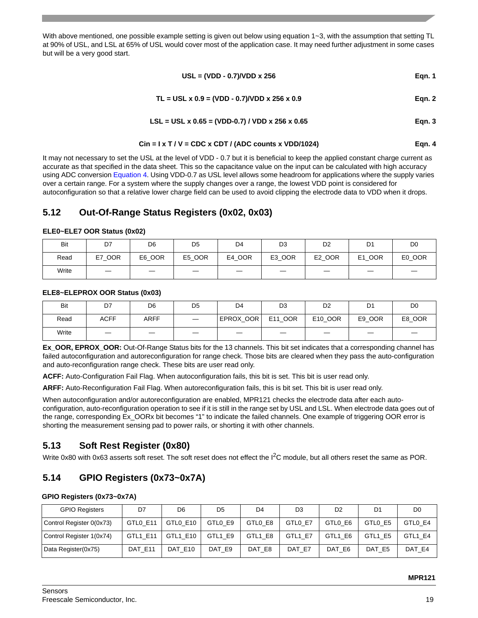With above mentioned, one possible example setting is given out below using equation  $1-3$ , with the assumption that setting TL at 90% of USL, and LSL at 65% of USL would cover most of the application case. It may need further adjustment in some cases but will be a very good start.

$$
USL = (VDD - 0.7)/VDD \times 256
$$
 Eqn. 1

$$
TL = USL \times 0.9 = (VDD - 0.7)/VDD \times 256 \times 0.9
$$
 Eqn. 2

$$
LSL = USL \times 0.65 = (VDD-0.7) / VDD \times 256 \times 0.65
$$
 Eqn. 3

$$
Cin = I \times T / V = CDC \times CDT / (ADC counts \times VDD/1024)
$$
Eqn. 4

<span id="page-18-0"></span>It may not necessary to set the USL at the level of VDD - 0.7 but it is beneficial to keep the applied constant charge current as accurate as that specified in the data sheet. This so the capacitance value on the input can be calculated with high accuracy using ADC conversion [Equation 4](#page-18-0). Using VDD-0.7 as USL level allows some headroom for applications where the supply varies over a certain range. For a system where the supply changes over a range, the lowest VDD point is considered for autoconfiguration so that a relative lower charge field can be used to avoid clipping the electrode data to VDD when it drops.

### **5.12 Out-Of-Range Status Registers (0x02, 0x03)**

#### **ELE0~ELE7 OOR Status (0x02)**

| Bit   | D7               | D <sub>6</sub> | D <sub>5</sub> | D4     | D <sub>3</sub> | D <sub>2</sub> | D1                           | D <sub>0</sub> |
|-------|------------------|----------------|----------------|--------|----------------|----------------|------------------------------|----------------|
| Read  | <b>OOR</b><br>E7 | E6 OOR         | E5_OOR         | E4 OOR | E3_OOR         | E2_OOR         | <b>OOR</b><br>E <sub>1</sub> | E0_OOR         |
| Write | —                |                |                | _      | –              |                | _                            |                |

#### **ELE8~ELEPROX OOR Status (0x03)**

| Bit   | D7          | D <sub>6</sub> | D <sub>5</sub> | D4        | D <sub>3</sub>           | D <sub>2</sub> | D1     | D <sub>0</sub> |
|-------|-------------|----------------|----------------|-----------|--------------------------|----------------|--------|----------------|
| Read  | <b>ACFF</b> | <b>ARFF</b>    |                | EPROX OOR | E11 OOR                  | E10 OOR        | E9 OOR | E8 OOR         |
| Write |             |                | _              | _         | $\overline{\phantom{a}}$ |                |        |                |

**Ex\_OOR, EPROX\_OOR:** Out-Of-Range Status bits for the 13 channels. This bit set indicates that a corresponding channel has failed autoconfiguration and autoreconfiguration for range check. Those bits are cleared when they pass the auto-configuration and auto-reconfiguration range check. These bits are user read only.

**ACFF:** Auto-Configuration Fail Flag. When autoconfiguration fails, this bit is set. This bit is user read only.

**ARFF:** Auto-Reconfiguration Fail Flag. When autoreconfiguration fails, this is bit set. This bit is user read only.

When autoconfiguration and/or autoreconfiguration are enabled, MPR121 checks the electrode data after each autoconfiguration, auto-reconfiguration operation to see if it is still in the range set by USL and LSL. When electrode data goes out of the range, corresponding Ex\_OORx bit becomes "1" to indicate the failed channels. One example of triggering OOR error is shorting the measurement sensing pad to power rails, or shorting it with other channels.

### **5.13 Soft Rest Register (0x80)**

Write 0x80 with 0x63 asserts soft reset. The soft reset does not effect the I<sup>2</sup>C module, but all others reset the same as POR.

### **5.14 GPIO Registers (0x73~0x7A)**

#### **GPIO Registers (0x73~0x7A)**

| <b>GPIO Registers</b>    | D7       | D <sub>6</sub> | D <sub>5</sub> | D4      | D <sub>3</sub> | D <sub>2</sub> | D1      | D <sub>0</sub> |
|--------------------------|----------|----------------|----------------|---------|----------------|----------------|---------|----------------|
| Control Register 0(0x73) | GTL0 E11 | GTL0 E10       | GTLO E9        | GTLO E8 | GTL0 E7        | GTLO E6        | GTLO E5 | GTL0 E4        |
| Control Register 1(0x74) | GTL1 E11 | GTL1 E10       | GTL1 E9        | GTL1 E8 | GTL1 E7        | GTL1 E6        | GTL1 E5 | GTL1 E4        |
| Data Register(0x75)      | DAT E11  | DAT E10        | DAT E9         | DAT E8  | DAT E7         | DAT E6         | DAT E5  | DAT E4         |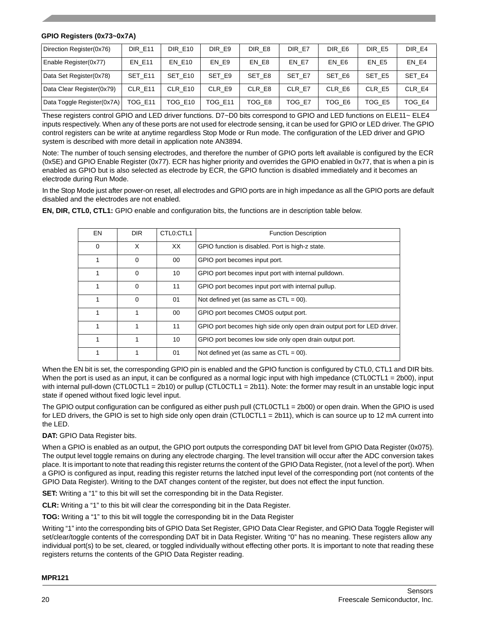#### **GPIO Registers (0x73~0x7A)**

| Direction Register(0x76)   | <b>DIR E11</b> | <b>DIR E10</b> | DIR E9         | DIR E8 | DIR E7 | DIR E6 | DIR E5 | DIR E4 |
|----------------------------|----------------|----------------|----------------|--------|--------|--------|--------|--------|
| Enable Register(0x77)      | <b>EN E11</b>  | <b>EN E10</b>  | EN E9          | EN E8  | EN E7  | EN E6  | EN E5  | EN E4  |
| Data Set Register(0x78)    | SET E11        | SET E10        | SET E9         | SET E8 | SET E7 | SET E6 | SET E5 | SET E4 |
| Data Clear Register(0x79)  | CLR E11        | CLR E10        | CLR E9         | CLR E8 | CLR E7 | CLR E6 | CLR E5 | CLR E4 |
| Data Toggle Register(0x7A) | <b>TOG E11</b> | TOG E10        | <b>TOG E11</b> | TOG E8 | TOG E7 | TOG E6 | TOG E5 | TOG E4 |

These registers control GPIO and LED driver functions. D7~D0 bits correspond to GPIO and LED functions on ELE11~ ELE4 inputs respectively. When any of these ports are not used for electrode sensing, it can be used for GPIO or LED driver. The GPIO control registers can be write at anytime regardless Stop Mode or Run mode. The configuration of the LED driver and GPIO system is described with more detail in application note AN3894.

Note: The number of touch sensing electrodes, and therefore the number of GPIO ports left available is configured by the ECR (0x5E) and GPIO Enable Register (0x77). ECR has higher priority and overrides the GPIO enabled in 0x77, that is when a pin is enabled as GPIO but is also selected as electrode by ECR, the GPIO function is disabled immediately and it becomes an electrode during Run Mode.

In the Stop Mode just after power-on reset, all electrodes and GPIO ports are in high impedance as all the GPIO ports are default disabled and the electrodes are not enabled.

| EN       | DIR.     | CTL <sub>0</sub> :CTL <sub>1</sub> | <b>Function Description</b>                                             |
|----------|----------|------------------------------------|-------------------------------------------------------------------------|
| $\Omega$ | X        | XX                                 | GPIO function is disabled. Port is high-z state.                        |
|          | $\Omega$ | 00                                 | GPIO port becomes input port.                                           |
|          | $\Omega$ | 10                                 | GPIO port becomes input port with internal pulldown.                    |
|          | $\Omega$ | 11                                 | GPIO port becomes input port with internal pullup.                      |
|          | $\Omega$ | 01                                 | Not defined yet (as same as $CTL = 00$ ).                               |
|          |          | 00                                 | GPIO port becomes CMOS output port.                                     |
|          |          | 11                                 | GPIO port becomes high side only open drain output port for LED driver. |
|          |          | 10                                 | GPIO port becomes low side only open drain output port.                 |
|          |          | 01                                 | Not defined yet (as same as $CTL = 00$ ).                               |

**EN, DIR, CTL0, CTL1:** GPIO enable and configuration bits, the functions are in description table below.

When the EN bit is set, the corresponding GPIO pin is enabled and the GPIO function is configured by CTL0, CTL1 and DIR bits. When the port is used as an input, it can be configured as a normal logic input with high impedance (CTL0CTL1 = 2b00), input with internal pull-down (CTL0CTL1 = 2b10) or pullup (CTL0CTL1 = 2b11). Note: the former may result in an unstable logic input state if opened without fixed logic level input.

The GPIO output configuration can be configured as either push pull (CTL0CTL1 = 2b00) or open drain. When the GPIO is used for LED drivers, the GPIO is set to high side only open drain (CTL0CTL1 = 2b11), which is can source up to 12 mA current into the LED.

### **DAT:** GPIO Data Register bits.

When a GPIO is enabled as an output, the GPIO port outputs the corresponding DAT bit level from GPIO Data Register (0x075). The output level toggle remains on during any electrode charging. The level transition will occur after the ADC conversion takes place. It is important to note that reading this register returns the content of the GPIO Data Register, (not a level of the port). When a GPIO is configured as input, reading this register returns the latched input level of the corresponding port (not contents of the GPIO Data Register). Writing to the DAT changes content of the register, but does not effect the input function.

**SET:** Writing a "1" to this bit will set the corresponding bit in the Data Register.

**CLR:** Writing a "1" to this bit will clear the corresponding bit in the Data Register.

**TOG:** Writing a "1" to this bit will toggle the corresponding bit in the Data Register

Writing "1" into the corresponding bits of GPIO Data Set Register, GPIO Data Clear Register, and GPIO Data Toggle Register will set/clear/toggle contents of the corresponding DAT bit in Data Register. Writing "0" has no meaning. These registers allow any individual port(s) to be set, cleared, or toggled individually without effecting other ports. It is important to note that reading these registers returns the contents of the GPIO Data Register reading.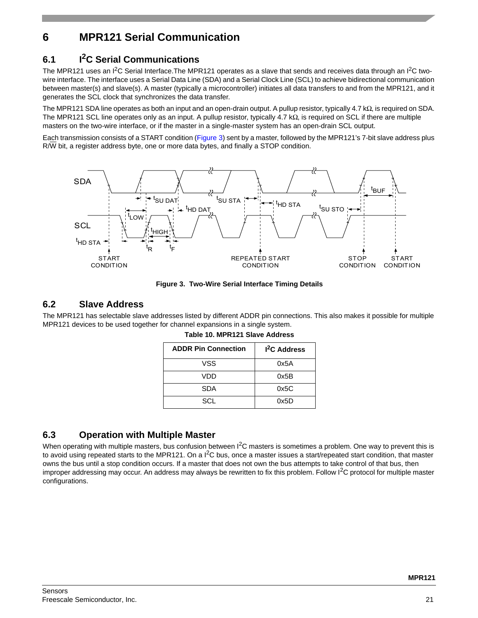# **6 MPR121 Serial Communication**

# **6.1 I2C Serial Communications**

The MPR121 uses an I<sup>2</sup>C Serial Interface.The MPR121 operates as a slave that sends and receives data through an I<sup>2</sup>C twowire interface. The interface uses a Serial Data Line (SDA) and a Serial Clock Line (SCL) to achieve bidirectional communication between master(s) and slave(s). A master (typically a microcontroller) initiates all data transfers to and from the MPR121, and it generates the SCL clock that synchronizes the data transfer.

The MPR121 SDA line operates as both an input and an open-drain output. A pullup resistor, typically 4.7 kΩ, is required on SDA. The MPR121 SCL line operates only as an input. A pullup resistor, typically 4.7 kΩ, is required on SCL if there are multiple masters on the two-wire interface, or if the master in a single-master system has an open-drain SCL output.

Each transmission consists of a START condition (Figure 3) sent by a master, followed by the MPR121's 7-bit slave address plus R/W bit, a register address byte, one or more data bytes, and finally a STOP condition.



**Figure 3. Two-Wire Serial Interface Timing Details**

### **6.2 Slave Address**

The MPR121 has selectable slave addresses listed by different ADDR pin connections. This also makes it possible for multiple MPR121 devices to be used together for channel expansions in a single system.

| <b>ADDR Pin Connection</b> | <sup>2</sup> C Address |
|----------------------------|------------------------|
| VSS                        | 0x5A                   |
| VDD                        | 0x5B                   |
| SDA                        | 0x5C                   |
| SCL                        | 0x5D                   |

**Table 10. MPR121 Slave Address**

### **6.3 Operation with Multiple Master**

When operating with multiple masters, bus confusion between I<sup>2</sup>C masters is sometimes a problem. One way to prevent this is to avoid using repeated starts to the MPR121. On a  $I^2C$  bus, once a master issues a start/repeated start condition, that master owns the bus until a stop condition occurs. If a master that does not own the bus attempts to take control of that bus, then improper addressing may occur. An address may always be rewritten to fix this problem. Follow  $I<sup>2</sup>C$  protocol for multiple master configurations.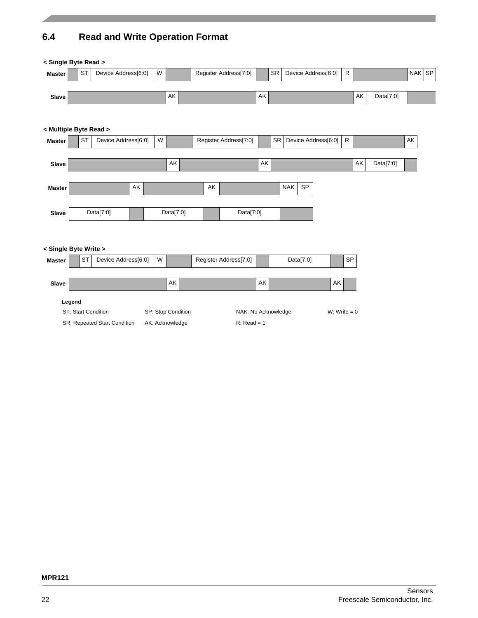# **6.4 Read and Write Operation Format**

| < Single Byte Read >   |        |           |                                                     |                     |                                       |           |    |                                      |    |           |                         |                |           |    |           |        |  |
|------------------------|--------|-----------|-----------------------------------------------------|---------------------|---------------------------------------|-----------|----|--------------------------------------|----|-----------|-------------------------|----------------|-----------|----|-----------|--------|--|
| <b>Master</b>          |        | <b>ST</b> | Device Address[6:0]                                 |                     | W                                     |           |    | Register Address[7:0]                |    | <b>SR</b> | Device Address[6:0]     |                | ${\sf R}$ |    |           | NAK SP |  |
| Slave                  |        |           |                                                     |                     |                                       | AK        |    |                                      | AK |           |                         |                |           | AK | Data[7:0] |        |  |
| < Multiple Byte Read > |        |           |                                                     |                     |                                       |           |    |                                      |    |           |                         |                |           |    |           |        |  |
| <b>Master</b>          |        | <b>ST</b> |                                                     | Device Address[6:0] | W                                     |           |    | Register Address[7:0]                |    | <b>SR</b> | Device Address[6:0]     |                | R         |    |           | AK     |  |
| Slave                  |        |           |                                                     |                     |                                       | AK        |    |                                      | AK |           |                         |                |           | AK | Data[7:0] |        |  |
| <b>Master</b>          |        |           |                                                     | AK                  |                                       |           | AK |                                      |    |           | <b>NAK</b><br><b>SP</b> |                |           |    |           |        |  |
| Slave                  |        |           | Data $[7:0]$                                        |                     |                                       | Data[7:0] |    | Data $[7:0]$                         |    |           |                         |                |           |    |           |        |  |
| < Single Byte Write >  |        |           |                                                     |                     |                                       |           |    |                                      |    |           |                         |                |           |    |           |        |  |
| <b>Master</b>          |        | <b>ST</b> |                                                     | Device Address[6:0] | W                                     |           |    | Register Address[7:0]                |    |           | Data[7:0]               |                | SP        |    |           |        |  |
| Slave                  |        |           |                                                     |                     |                                       | AK        |    |                                      | AK |           |                         | AK             |           |    |           |        |  |
|                        | Legend |           | ST: Start Condition<br>SR: Repeated Start Condition |                     | SP: Stop Condition<br>AK: Acknowledge |           |    | NAK: No Acknowledge<br>$R: Read = 1$ |    |           |                         | W: Write $= 0$ |           |    |           |        |  |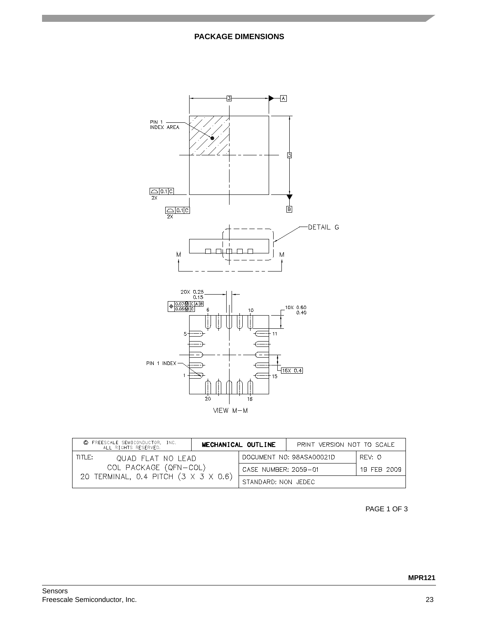

| © FREESCALE SEMICONDUCTOR, INC.<br>ALL RIGHTS RESERVED. | MECHANICAL OUTLINE |                      | PRINT VERSION NOT TO SCALE |             |
|---------------------------------------------------------|--------------------|----------------------|----------------------------|-------------|
| TITLE:<br>quad flat no lead                             |                    |                      | DOCUMENT NO: 98ASA00021D   | RFV: 0      |
| COL PACKAGE (QFN-COL)                                   |                    | CASE NUMBER: 2059-01 |                            | 19 FEB 2009 |
| 20 TERMINAL, 0.4 PITCH (3 X 3 X 0.6)                    |                    | STANDARD: NON JEDEC  |                            |             |

PAGE 1 OF 3

**MPR121**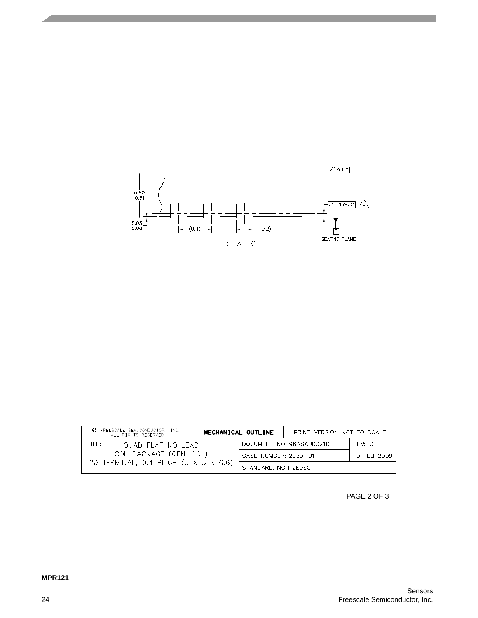

| FREESCALE SEMICONDUCTOR. INC.<br>©<br>ALL RIGHTS RESERVED. | MECHANICAL OUTLINE |                      | PRINT VERSION NOT TO SCALE |             |
|------------------------------------------------------------|--------------------|----------------------|----------------------------|-------------|
| TITLE:<br>quad flat no lead                                |                    |                      | DOCUMENT NO: 98ASA00021D   | RFV: O      |
| COL PACKAGE (QFN-COL)                                      |                    | CASE NUMBER: 2059-01 |                            | 19 FFB 2009 |
| 20 TERMINAL, 0.4 PITCH (3 X 3 X 0.6)                       |                    | STANDARD: NON JEDEC  |                            |             |

PAGE 2 OF 3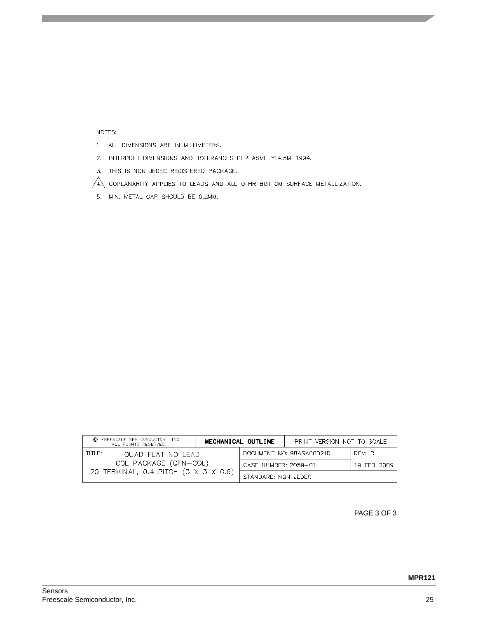#### NOTES:

- 1. ALL DIMENSIONS ARE IN MILLIMETERS.
- 2. INTERPRET DIMENSIONS AND TOLERANCES PER ASME Y14.5M-1994.
- 3. THIS IS NON JEDEC REGISTERED PACKAGE.

 $\sqrt{4}$  coplanarity applies to leads and all othr bottom surface metallization.

5. MIN. METAL GAP SHOULD BE 0.2MM.

| © FREESCALE SEMICONDUCTOR, INC.<br>ALL RIGHTS RESERVED. | MECHANICAL OUTLINE |                          | PRINT VERSION NOT TO SCALE |             |
|---------------------------------------------------------|--------------------|--------------------------|----------------------------|-------------|
| TITLE:<br>QUAD FLAT NO LEAD                             |                    | DOCUMENT NO: 98ASA00021D | REV: 0                     |             |
| COL PACKAGE (QFN-COL)                                   |                    | CASE NUMBER: 2059-01     |                            | 19 FEB 2009 |
| 20 TERMINAL, 0.4 PITCH (3 X 3 X 0.6)                    |                    | STANDARD: NON JEDEC      |                            |             |

PAGE 3 OF 3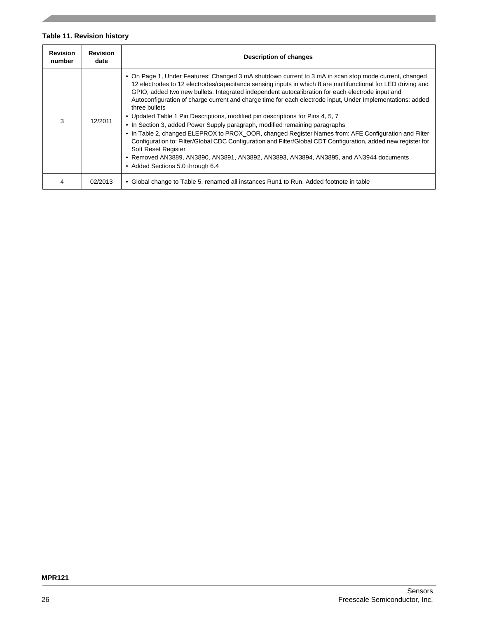### **Table 11. Revision history**

| <b>Revision</b><br>number | Revision<br>date | <b>Description of changes</b>                                                                                                                                                                                                                                                                                                                                                                                                                                                                                                                                                                                                                                                                                                                                                                                                                                                                                                                                                                           |
|---------------------------|------------------|---------------------------------------------------------------------------------------------------------------------------------------------------------------------------------------------------------------------------------------------------------------------------------------------------------------------------------------------------------------------------------------------------------------------------------------------------------------------------------------------------------------------------------------------------------------------------------------------------------------------------------------------------------------------------------------------------------------------------------------------------------------------------------------------------------------------------------------------------------------------------------------------------------------------------------------------------------------------------------------------------------|
| 3                         | 12/2011          | • On Page 1, Under Features: Changed 3 mA shutdown current to 3 mA in scan stop mode current, changed<br>12 electrodes to 12 electrodes/capacitance sensing inputs in which 8 are multifunctional for LED driving and<br>GPIO, added two new bullets: Integrated independent autocalibration for each electrode input and<br>Autoconfiguration of charge current and charge time for each electrode input, Under Implementations: added<br>three bullets<br>• Updated Table 1 Pin Descriptions, modified pin descriptions for Pins 4, 5, 7<br>• In Section 3, added Power Supply paragraph, modified remaining paragraphs<br>• In Table 2, changed ELEPROX to PROX OOR, changed Register Names from: AFE Configuration and Filter<br>Configuration to: Filter/Global CDC Configuration and Filter/Global CDT Configuration, added new register for<br>Soft Reset Register<br>• Removed AN3889, AN3890, AN3891, AN3892, AN3893, AN3894, AN3895, and AN3944 documents<br>• Added Sections 5.0 through 6.4 |
| 4                         | 02/2013          | • Global change to Table 5, renamed all instances Run1 to Run. Added footnote in table                                                                                                                                                                                                                                                                                                                                                                                                                                                                                                                                                                                                                                                                                                                                                                                                                                                                                                                  |